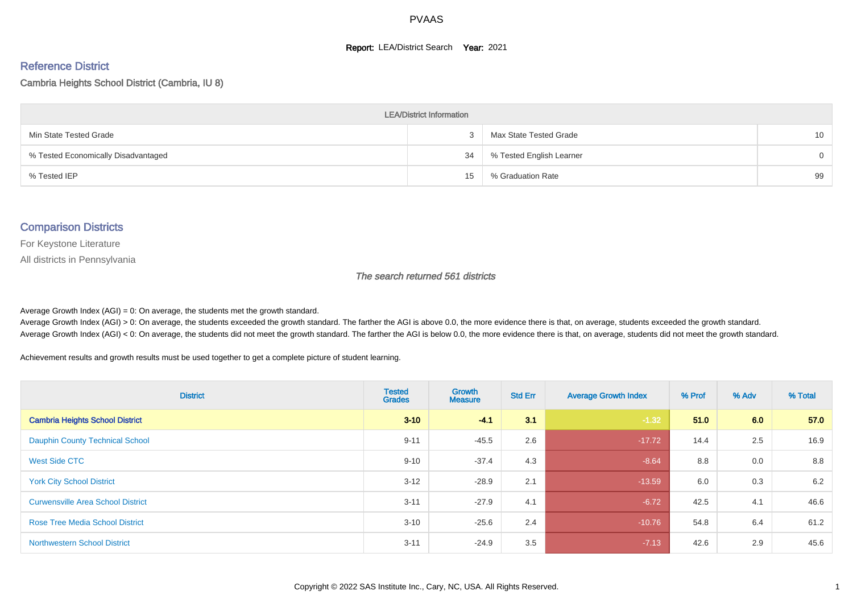#### **Report: LEA/District Search Year: 2021**

#### Reference District

#### Cambria Heights School District (Cambria, IU 8)

| <b>LEA/District Information</b>     |    |                          |                 |  |  |  |  |  |  |  |
|-------------------------------------|----|--------------------------|-----------------|--|--|--|--|--|--|--|
| Min State Tested Grade              |    | Max State Tested Grade   | 10 <sup>°</sup> |  |  |  |  |  |  |  |
| % Tested Economically Disadvantaged | 34 | % Tested English Learner | $\Omega$        |  |  |  |  |  |  |  |
| % Tested IEP                        | 15 | % Graduation Rate        | 99              |  |  |  |  |  |  |  |

#### Comparison Districts

For Keystone Literature

All districts in Pennsylvania

The search returned 561 districts

Average Growth Index  $(AGI) = 0$ : On average, the students met the growth standard.

Average Growth Index (AGI) > 0: On average, the students exceeded the growth standard. The farther the AGI is above 0.0, the more evidence there is that, on average, students exceeded the growth standard. Average Growth Index (AGI) < 0: On average, the students did not meet the growth standard. The farther the AGI is below 0.0, the more evidence there is that, on average, students did not meet the growth standard.

Achievement results and growth results must be used together to get a complete picture of student learning.

| <b>District</b>                          | <b>Tested</b><br><b>Grades</b> | <b>Growth</b><br><b>Measure</b> | <b>Std Err</b> | <b>Average Growth Index</b> | % Prof | % Adv | % Total |
|------------------------------------------|--------------------------------|---------------------------------|----------------|-----------------------------|--------|-------|---------|
| <b>Cambria Heights School District</b>   | $3 - 10$                       | $-4.1$                          | 3.1            | $-1.32$                     | 51.0   | 6.0   | 57.0    |
| <b>Dauphin County Technical School</b>   | $9 - 11$                       | $-45.5$                         | 2.6            | $-17.72$                    | 14.4   | 2.5   | 16.9    |
| West Side CTC                            | $9 - 10$                       | $-37.4$                         | 4.3            | $-8.64$                     | 8.8    | 0.0   | 8.8     |
| <b>York City School District</b>         | $3 - 12$                       | $-28.9$                         | 2.1            | $-13.59$                    | 6.0    | 0.3   | 6.2     |
| <b>Curwensville Area School District</b> | $3 - 11$                       | $-27.9$                         | 4.1            | $-6.72$                     | 42.5   | 4.1   | 46.6    |
| <b>Rose Tree Media School District</b>   | $3 - 10$                       | $-25.6$                         | 2.4            | $-10.76$                    | 54.8   | 6.4   | 61.2    |
| <b>Northwestern School District</b>      | $3 - 11$                       | $-24.9$                         | 3.5            | $-7.13$                     | 42.6   | 2.9   | 45.6    |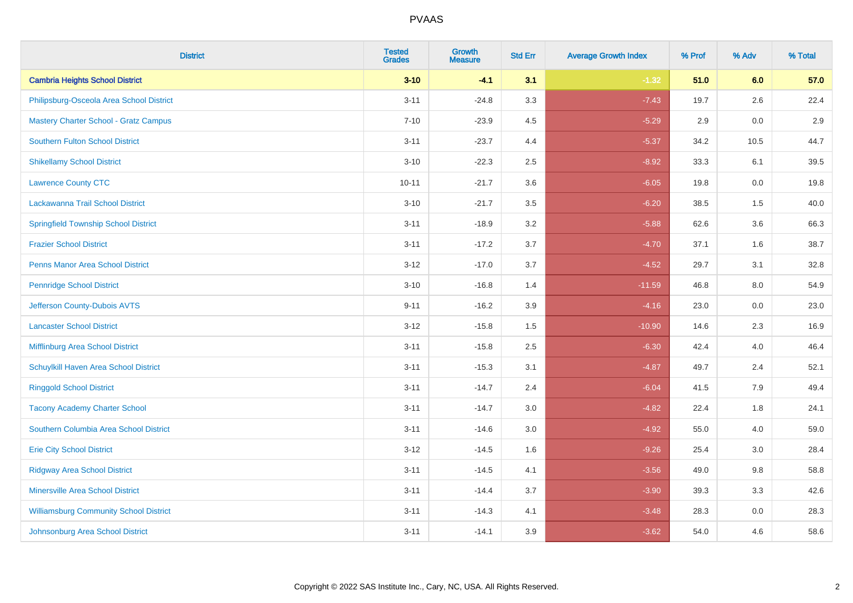| <b>District</b>                               | <b>Tested</b><br><b>Grades</b> | <b>Growth</b><br><b>Measure</b> | <b>Std Err</b> | <b>Average Growth Index</b> | % Prof | % Adv   | % Total |
|-----------------------------------------------|--------------------------------|---------------------------------|----------------|-----------------------------|--------|---------|---------|
| <b>Cambria Heights School District</b>        | $3 - 10$                       | $-4.1$                          | 3.1            | $-1.32$                     | 51.0   | 6.0     | 57.0    |
| Philipsburg-Osceola Area School District      | $3 - 11$                       | $-24.8$                         | 3.3            | $-7.43$                     | 19.7   | $2.6\,$ | 22.4    |
| <b>Mastery Charter School - Gratz Campus</b>  | $7 - 10$                       | $-23.9$                         | 4.5            | $-5.29$                     | 2.9    | 0.0     | 2.9     |
| <b>Southern Fulton School District</b>        | $3 - 11$                       | $-23.7$                         | 4.4            | $-5.37$                     | 34.2   | 10.5    | 44.7    |
| <b>Shikellamy School District</b>             | $3 - 10$                       | $-22.3$                         | 2.5            | $-8.92$                     | 33.3   | 6.1     | 39.5    |
| <b>Lawrence County CTC</b>                    | $10 - 11$                      | $-21.7$                         | 3.6            | $-6.05$                     | 19.8   | 0.0     | 19.8    |
| Lackawanna Trail School District              | $3 - 10$                       | $-21.7$                         | 3.5            | $-6.20$                     | 38.5   | 1.5     | 40.0    |
| <b>Springfield Township School District</b>   | $3 - 11$                       | $-18.9$                         | 3.2            | $-5.88$                     | 62.6   | 3.6     | 66.3    |
| <b>Frazier School District</b>                | $3 - 11$                       | $-17.2$                         | 3.7            | $-4.70$                     | 37.1   | 1.6     | 38.7    |
| <b>Penns Manor Area School District</b>       | $3 - 12$                       | $-17.0$                         | 3.7            | $-4.52$                     | 29.7   | 3.1     | 32.8    |
| <b>Pennridge School District</b>              | $3 - 10$                       | $-16.8$                         | 1.4            | $-11.59$                    | 46.8   | 8.0     | 54.9    |
| Jefferson County-Dubois AVTS                  | $9 - 11$                       | $-16.2$                         | 3.9            | $-4.16$                     | 23.0   | 0.0     | 23.0    |
| <b>Lancaster School District</b>              | $3 - 12$                       | $-15.8$                         | $1.5$          | $-10.90$                    | 14.6   | $2.3\,$ | 16.9    |
| <b>Mifflinburg Area School District</b>       | $3 - 11$                       | $-15.8$                         | 2.5            | $-6.30$                     | 42.4   | 4.0     | 46.4    |
| Schuylkill Haven Area School District         | $3 - 11$                       | $-15.3$                         | 3.1            | $-4.87$                     | 49.7   | 2.4     | 52.1    |
| <b>Ringgold School District</b>               | $3 - 11$                       | $-14.7$                         | 2.4            | $-6.04$                     | 41.5   | 7.9     | 49.4    |
| <b>Tacony Academy Charter School</b>          | $3 - 11$                       | $-14.7$                         | 3.0            | $-4.82$                     | 22.4   | 1.8     | 24.1    |
| Southern Columbia Area School District        | $3 - 11$                       | $-14.6$                         | 3.0            | $-4.92$                     | 55.0   | 4.0     | 59.0    |
| <b>Erie City School District</b>              | $3 - 12$                       | $-14.5$                         | 1.6            | $-9.26$                     | 25.4   | 3.0     | 28.4    |
| <b>Ridgway Area School District</b>           | $3 - 11$                       | $-14.5$                         | 4.1            | $-3.56$                     | 49.0   | 9.8     | 58.8    |
| <b>Minersville Area School District</b>       | $3 - 11$                       | $-14.4$                         | 3.7            | $-3.90$                     | 39.3   | 3.3     | 42.6    |
| <b>Williamsburg Community School District</b> | $3 - 11$                       | $-14.3$                         | 4.1            | $-3.48$                     | 28.3   | 0.0     | 28.3    |
| Johnsonburg Area School District              | $3 - 11$                       | $-14.1$                         | 3.9            | $-3.62$                     | 54.0   | 4.6     | 58.6    |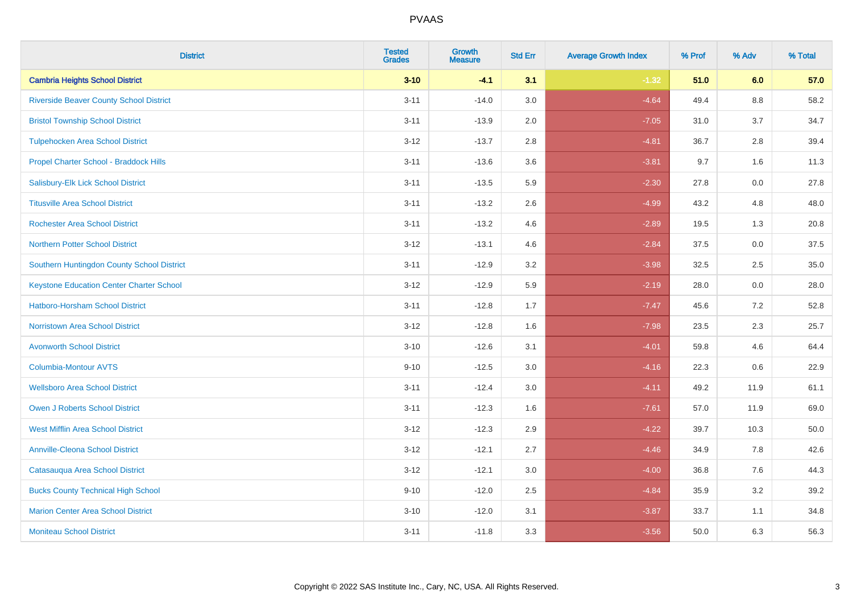| <b>District</b>                                 | <b>Tested</b><br><b>Grades</b> | <b>Growth</b><br><b>Measure</b> | <b>Std Err</b> | <b>Average Growth Index</b> | % Prof | % Adv   | % Total |
|-------------------------------------------------|--------------------------------|---------------------------------|----------------|-----------------------------|--------|---------|---------|
| <b>Cambria Heights School District</b>          | $3 - 10$                       | $-4.1$                          | 3.1            | $-1.32$                     | 51.0   | 6.0     | 57.0    |
| <b>Riverside Beaver County School District</b>  | $3 - 11$                       | $-14.0$                         | 3.0            | $-4.64$                     | 49.4   | $8.8\,$ | 58.2    |
| <b>Bristol Township School District</b>         | $3 - 11$                       | $-13.9$                         | 2.0            | $-7.05$                     | 31.0   | 3.7     | 34.7    |
| <b>Tulpehocken Area School District</b>         | $3 - 12$                       | $-13.7$                         | 2.8            | $-4.81$                     | 36.7   | 2.8     | 39.4    |
| Propel Charter School - Braddock Hills          | $3 - 11$                       | $-13.6$                         | 3.6            | $-3.81$                     | 9.7    | 1.6     | 11.3    |
| Salisbury-Elk Lick School District              | $3 - 11$                       | $-13.5$                         | 5.9            | $-2.30$                     | 27.8   | 0.0     | 27.8    |
| <b>Titusville Area School District</b>          | $3 - 11$                       | $-13.2$                         | 2.6            | $-4.99$                     | 43.2   | 4.8     | 48.0    |
| <b>Rochester Area School District</b>           | $3 - 11$                       | $-13.2$                         | 4.6            | $-2.89$                     | 19.5   | 1.3     | 20.8    |
| <b>Northern Potter School District</b>          | $3 - 12$                       | $-13.1$                         | 4.6            | $-2.84$                     | 37.5   | 0.0     | 37.5    |
| Southern Huntingdon County School District      | $3 - 11$                       | $-12.9$                         | 3.2            | $-3.98$                     | 32.5   | $2.5\,$ | 35.0    |
| <b>Keystone Education Center Charter School</b> | $3 - 12$                       | $-12.9$                         | 5.9            | $-2.19$                     | 28.0   | 0.0     | 28.0    |
| <b>Hatboro-Horsham School District</b>          | $3 - 11$                       | $-12.8$                         | 1.7            | $-7.47$                     | 45.6   | 7.2     | 52.8    |
| <b>Norristown Area School District</b>          | $3 - 12$                       | $-12.8$                         | 1.6            | $-7.98$                     | 23.5   | 2.3     | 25.7    |
| <b>Avonworth School District</b>                | $3 - 10$                       | $-12.6$                         | 3.1            | $-4.01$                     | 59.8   | 4.6     | 64.4    |
| Columbia-Montour AVTS                           | $9 - 10$                       | $-12.5$                         | 3.0            | $-4.16$                     | 22.3   | 0.6     | 22.9    |
| <b>Wellsboro Area School District</b>           | $3 - 11$                       | $-12.4$                         | 3.0            | $-4.11$                     | 49.2   | 11.9    | 61.1    |
| <b>Owen J Roberts School District</b>           | $3 - 11$                       | $-12.3$                         | 1.6            | $-7.61$                     | 57.0   | 11.9    | 69.0    |
| <b>West Mifflin Area School District</b>        | $3 - 12$                       | $-12.3$                         | 2.9            | $-4.22$                     | 39.7   | 10.3    | 50.0    |
| <b>Annville-Cleona School District</b>          | $3 - 12$                       | $-12.1$                         | 2.7            | $-4.46$                     | 34.9   | 7.8     | 42.6    |
| Catasauqua Area School District                 | $3 - 12$                       | $-12.1$                         | 3.0            | $-4.00$                     | 36.8   | 7.6     | 44.3    |
| <b>Bucks County Technical High School</b>       | $9 - 10$                       | $-12.0$                         | 2.5            | $-4.84$                     | 35.9   | 3.2     | 39.2    |
| <b>Marion Center Area School District</b>       | $3 - 10$                       | $-12.0$                         | 3.1            | $-3.87$                     | 33.7   | 1.1     | 34.8    |
| <b>Moniteau School District</b>                 | $3 - 11$                       | $-11.8$                         | 3.3            | $-3.56$                     | 50.0   | 6.3     | 56.3    |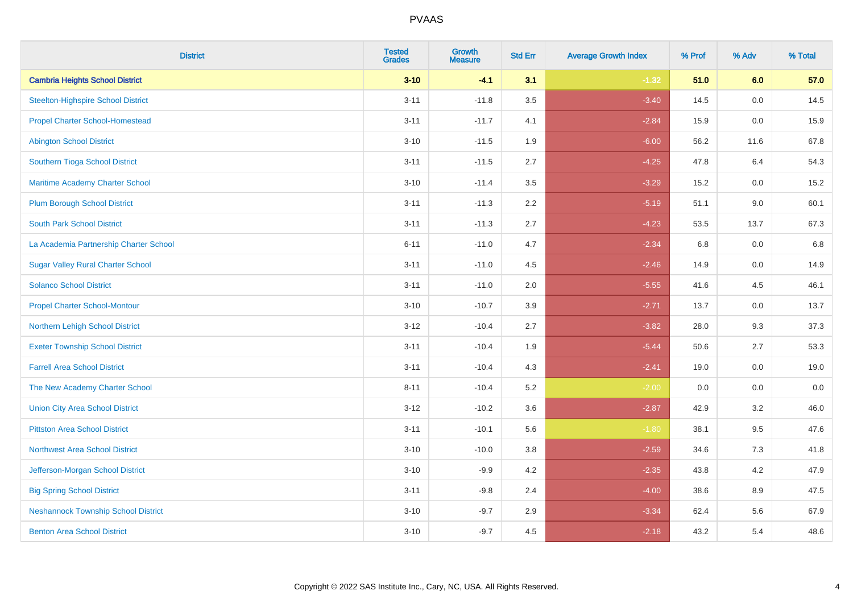| <b>District</b>                            | <b>Tested</b><br><b>Grades</b> | <b>Growth</b><br><b>Measure</b> | <b>Std Err</b> | <b>Average Growth Index</b> | % Prof | % Adv   | % Total |
|--------------------------------------------|--------------------------------|---------------------------------|----------------|-----------------------------|--------|---------|---------|
| <b>Cambria Heights School District</b>     | $3 - 10$                       | $-4.1$                          | 3.1            | $-1.32$                     | 51.0   | 6.0     | 57.0    |
| <b>Steelton-Highspire School District</b>  | $3 - 11$                       | $-11.8$                         | 3.5            | $-3.40$                     | 14.5   | 0.0     | 14.5    |
| <b>Propel Charter School-Homestead</b>     | $3 - 11$                       | $-11.7$                         | 4.1            | $-2.84$                     | 15.9   | 0.0     | 15.9    |
| <b>Abington School District</b>            | $3 - 10$                       | $-11.5$                         | 1.9            | $-6.00$                     | 56.2   | 11.6    | 67.8    |
| Southern Tioga School District             | $3 - 11$                       | $-11.5$                         | 2.7            | $-4.25$                     | 47.8   | 6.4     | 54.3    |
| Maritime Academy Charter School            | $3 - 10$                       | $-11.4$                         | 3.5            | $-3.29$                     | 15.2   | 0.0     | 15.2    |
| <b>Plum Borough School District</b>        | $3 - 11$                       | $-11.3$                         | 2.2            | $-5.19$                     | 51.1   | 9.0     | 60.1    |
| <b>South Park School District</b>          | $3 - 11$                       | $-11.3$                         | 2.7            | $-4.23$                     | 53.5   | 13.7    | 67.3    |
| La Academia Partnership Charter School     | $6 - 11$                       | $-11.0$                         | 4.7            | $-2.34$                     | 6.8    | 0.0     | 6.8     |
| <b>Sugar Valley Rural Charter School</b>   | $3 - 11$                       | $-11.0$                         | 4.5            | $-2.46$                     | 14.9   | 0.0     | 14.9    |
| <b>Solanco School District</b>             | $3 - 11$                       | $-11.0$                         | 2.0            | $-5.55$                     | 41.6   | 4.5     | 46.1    |
| <b>Propel Charter School-Montour</b>       | $3 - 10$                       | $-10.7$                         | 3.9            | $-2.71$                     | 13.7   | 0.0     | 13.7    |
| Northern Lehigh School District            | $3 - 12$                       | $-10.4$                         | 2.7            | $-3.82$                     | 28.0   | 9.3     | 37.3    |
| <b>Exeter Township School District</b>     | $3 - 11$                       | $-10.4$                         | 1.9            | $-5.44$                     | 50.6   | 2.7     | 53.3    |
| <b>Farrell Area School District</b>        | $3 - 11$                       | $-10.4$                         | 4.3            | $-2.41$                     | 19.0   | 0.0     | 19.0    |
| The New Academy Charter School             | $8 - 11$                       | $-10.4$                         | 5.2            | $-2.00$                     | 0.0    | $0.0\,$ | $0.0\,$ |
| <b>Union City Area School District</b>     | $3 - 12$                       | $-10.2$                         | 3.6            | $-2.87$                     | 42.9   | 3.2     | 46.0    |
| <b>Pittston Area School District</b>       | $3 - 11$                       | $-10.1$                         | 5.6            | $-1.80$                     | 38.1   | 9.5     | 47.6    |
| <b>Northwest Area School District</b>      | $3 - 10$                       | $-10.0$                         | 3.8            | $-2.59$                     | 34.6   | $7.3$   | 41.8    |
| Jefferson-Morgan School District           | $3 - 10$                       | $-9.9$                          | 4.2            | $-2.35$                     | 43.8   | 4.2     | 47.9    |
| <b>Big Spring School District</b>          | $3 - 11$                       | $-9.8$                          | 2.4            | $-4.00$                     | 38.6   | 8.9     | 47.5    |
| <b>Neshannock Township School District</b> | $3 - 10$                       | $-9.7$                          | 2.9            | $-3.34$                     | 62.4   | 5.6     | 67.9    |
| <b>Benton Area School District</b>         | $3 - 10$                       | $-9.7$                          | 4.5            | $-2.18$                     | 43.2   | 5.4     | 48.6    |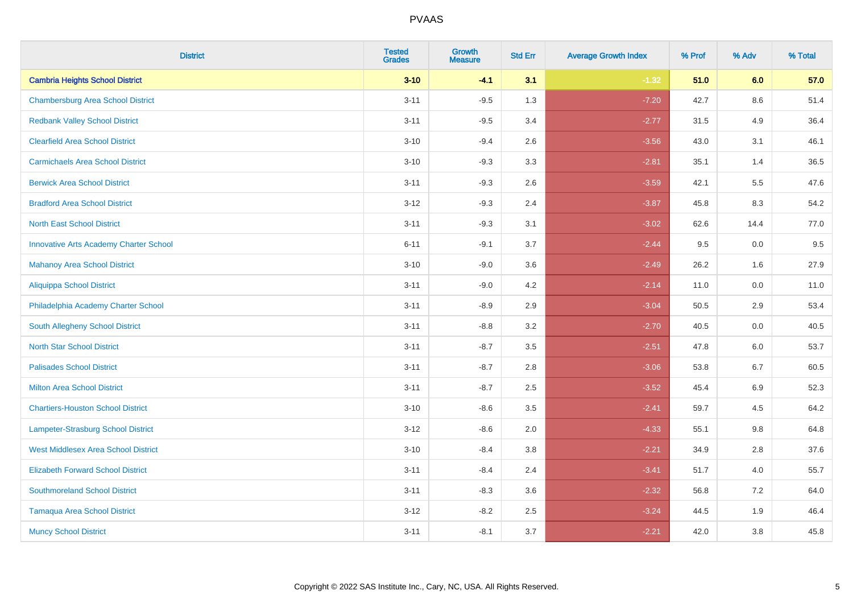| <b>District</b>                               | <b>Tested</b><br><b>Grades</b> | <b>Growth</b><br><b>Measure</b> | <b>Std Err</b> | <b>Average Growth Index</b> | % Prof | % Adv   | % Total |
|-----------------------------------------------|--------------------------------|---------------------------------|----------------|-----------------------------|--------|---------|---------|
| <b>Cambria Heights School District</b>        | $3 - 10$                       | $-4.1$                          | 3.1            | $-1.32$                     | 51.0   | 6.0     | 57.0    |
| <b>Chambersburg Area School District</b>      | $3 - 11$                       | $-9.5$                          | 1.3            | $-7.20$                     | 42.7   | 8.6     | 51.4    |
| <b>Redbank Valley School District</b>         | $3 - 11$                       | $-9.5$                          | 3.4            | $-2.77$                     | 31.5   | 4.9     | 36.4    |
| <b>Clearfield Area School District</b>        | $3 - 10$                       | $-9.4$                          | 2.6            | $-3.56$                     | 43.0   | 3.1     | 46.1    |
| <b>Carmichaels Area School District</b>       | $3 - 10$                       | $-9.3$                          | 3.3            | $-2.81$                     | 35.1   | 1.4     | 36.5    |
| <b>Berwick Area School District</b>           | $3 - 11$                       | $-9.3$                          | 2.6            | $-3.59$                     | 42.1   | 5.5     | 47.6    |
| <b>Bradford Area School District</b>          | $3 - 12$                       | $-9.3$                          | 2.4            | $-3.87$                     | 45.8   | 8.3     | 54.2    |
| <b>North East School District</b>             | $3 - 11$                       | $-9.3$                          | 3.1            | $-3.02$                     | 62.6   | 14.4    | 77.0    |
| <b>Innovative Arts Academy Charter School</b> | $6 - 11$                       | $-9.1$                          | 3.7            | $-2.44$                     | 9.5    | 0.0     | 9.5     |
| <b>Mahanoy Area School District</b>           | $3 - 10$                       | $-9.0$                          | 3.6            | $-2.49$                     | 26.2   | 1.6     | 27.9    |
| <b>Aliquippa School District</b>              | $3 - 11$                       | $-9.0$                          | 4.2            | $-2.14$                     | 11.0   | 0.0     | 11.0    |
| Philadelphia Academy Charter School           | $3 - 11$                       | $-8.9$                          | 2.9            | $-3.04$                     | 50.5   | 2.9     | 53.4    |
| South Allegheny School District               | $3 - 11$                       | $-8.8$                          | 3.2            | $-2.70$                     | 40.5   | $0.0\,$ | 40.5    |
| <b>North Star School District</b>             | $3 - 11$                       | $-8.7$                          | 3.5            | $-2.51$                     | 47.8   | 6.0     | 53.7    |
| <b>Palisades School District</b>              | $3 - 11$                       | $-8.7$                          | 2.8            | $-3.06$                     | 53.8   | 6.7     | 60.5    |
| <b>Milton Area School District</b>            | $3 - 11$                       | $-8.7$                          | 2.5            | $-3.52$                     | 45.4   | $6.9\,$ | 52.3    |
| <b>Chartiers-Houston School District</b>      | $3 - 10$                       | $-8.6$                          | 3.5            | $-2.41$                     | 59.7   | 4.5     | 64.2    |
| Lampeter-Strasburg School District            | $3 - 12$                       | $-8.6$                          | 2.0            | $-4.33$                     | 55.1   | 9.8     | 64.8    |
| <b>West Middlesex Area School District</b>    | $3 - 10$                       | $-8.4$                          | 3.8            | $-2.21$                     | 34.9   | 2.8     | 37.6    |
| <b>Elizabeth Forward School District</b>      | $3 - 11$                       | $-8.4$                          | 2.4            | $-3.41$                     | 51.7   | 4.0     | 55.7    |
| <b>Southmoreland School District</b>          | $3 - 11$                       | $-8.3$                          | 3.6            | $-2.32$                     | 56.8   | 7.2     | 64.0    |
| <b>Tamaqua Area School District</b>           | $3 - 12$                       | $-8.2$                          | 2.5            | $-3.24$                     | 44.5   | 1.9     | 46.4    |
| <b>Muncy School District</b>                  | $3 - 11$                       | $-8.1$                          | 3.7            | $-2.21$                     | 42.0   | 3.8     | 45.8    |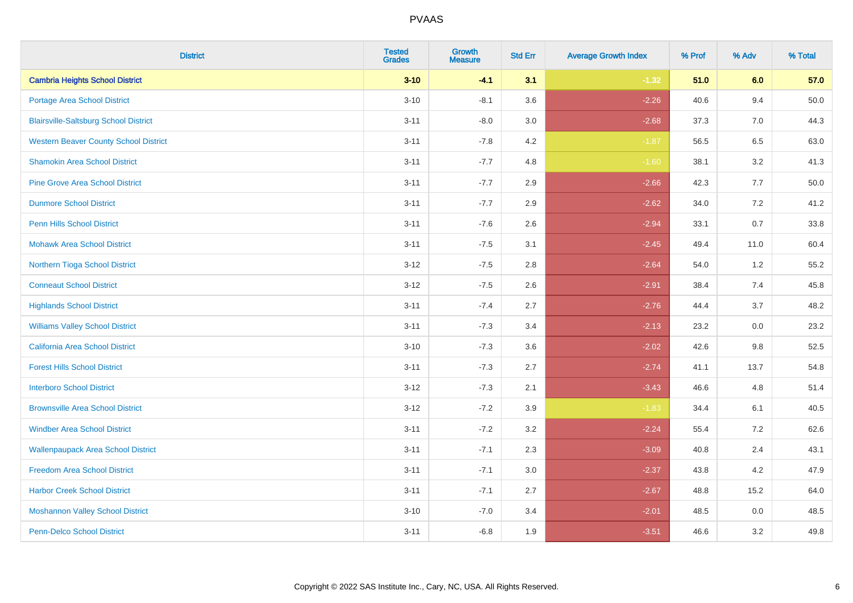| <b>District</b>                              | <b>Tested</b><br><b>Grades</b> | <b>Growth</b><br><b>Measure</b> | <b>Std Err</b> | <b>Average Growth Index</b> | % Prof | % Adv   | % Total  |
|----------------------------------------------|--------------------------------|---------------------------------|----------------|-----------------------------|--------|---------|----------|
| <b>Cambria Heights School District</b>       | $3 - 10$                       | $-4.1$                          | 3.1            | $-1.32$                     | 51.0   | 6.0     | 57.0     |
| Portage Area School District                 | $3 - 10$                       | $-8.1$                          | 3.6            | $-2.26$                     | 40.6   | 9.4     | $50.0\,$ |
| <b>Blairsville-Saltsburg School District</b> | $3 - 11$                       | $-8.0$                          | 3.0            | $-2.68$                     | 37.3   | 7.0     | 44.3     |
| <b>Western Beaver County School District</b> | $3 - 11$                       | $-7.8$                          | 4.2            | $-1.87$                     | 56.5   | 6.5     | 63.0     |
| <b>Shamokin Area School District</b>         | $3 - 11$                       | $-7.7$                          | 4.8            | $-1.60$                     | 38.1   | 3.2     | 41.3     |
| <b>Pine Grove Area School District</b>       | $3 - 11$                       | $-7.7$                          | 2.9            | $-2.66$                     | 42.3   | 7.7     | 50.0     |
| <b>Dunmore School District</b>               | $3 - 11$                       | $-7.7$                          | 2.9            | $-2.62$                     | 34.0   | 7.2     | 41.2     |
| <b>Penn Hills School District</b>            | $3 - 11$                       | $-7.6$                          | 2.6            | $-2.94$                     | 33.1   | 0.7     | 33.8     |
| <b>Mohawk Area School District</b>           | $3 - 11$                       | $-7.5$                          | 3.1            | $-2.45$                     | 49.4   | 11.0    | 60.4     |
| Northern Tioga School District               | $3-12$                         | $-7.5$                          | 2.8            | $-2.64$                     | 54.0   | $1.2\,$ | 55.2     |
| <b>Conneaut School District</b>              | $3-12$                         | $-7.5$                          | 2.6            | $-2.91$                     | 38.4   | 7.4     | 45.8     |
| <b>Highlands School District</b>             | $3 - 11$                       | $-7.4$                          | 2.7            | $-2.76$                     | 44.4   | 3.7     | 48.2     |
| <b>Williams Valley School District</b>       | $3 - 11$                       | $-7.3$                          | 3.4            | $-2.13$                     | 23.2   | $0.0\,$ | 23.2     |
| California Area School District              | $3 - 10$                       | $-7.3$                          | 3.6            | $-2.02$                     | 42.6   | $9.8\,$ | 52.5     |
| <b>Forest Hills School District</b>          | $3 - 11$                       | $-7.3$                          | 2.7            | $-2.74$                     | 41.1   | 13.7    | 54.8     |
| <b>Interboro School District</b>             | $3 - 12$                       | $-7.3$                          | 2.1            | $-3.43$                     | 46.6   | 4.8     | 51.4     |
| <b>Brownsville Area School District</b>      | $3 - 12$                       | $-7.2$                          | 3.9            | $-1.83$                     | 34.4   | 6.1     | 40.5     |
| <b>Windber Area School District</b>          | $3 - 11$                       | $-7.2$                          | 3.2            | $-2.24$                     | 55.4   | 7.2     | 62.6     |
| <b>Wallenpaupack Area School District</b>    | $3 - 11$                       | $-7.1$                          | 2.3            | $-3.09$                     | 40.8   | 2.4     | 43.1     |
| <b>Freedom Area School District</b>          | $3 - 11$                       | $-7.1$                          | 3.0            | $-2.37$                     | 43.8   | 4.2     | 47.9     |
| <b>Harbor Creek School District</b>          | $3 - 11$                       | $-7.1$                          | 2.7            | $-2.67$                     | 48.8   | 15.2    | 64.0     |
| <b>Moshannon Valley School District</b>      | $3 - 10$                       | $-7.0$                          | 3.4            | $-2.01$                     | 48.5   | $0.0\,$ | 48.5     |
| Penn-Delco School District                   | $3 - 11$                       | $-6.8$                          | 1.9            | $-3.51$                     | 46.6   | 3.2     | 49.8     |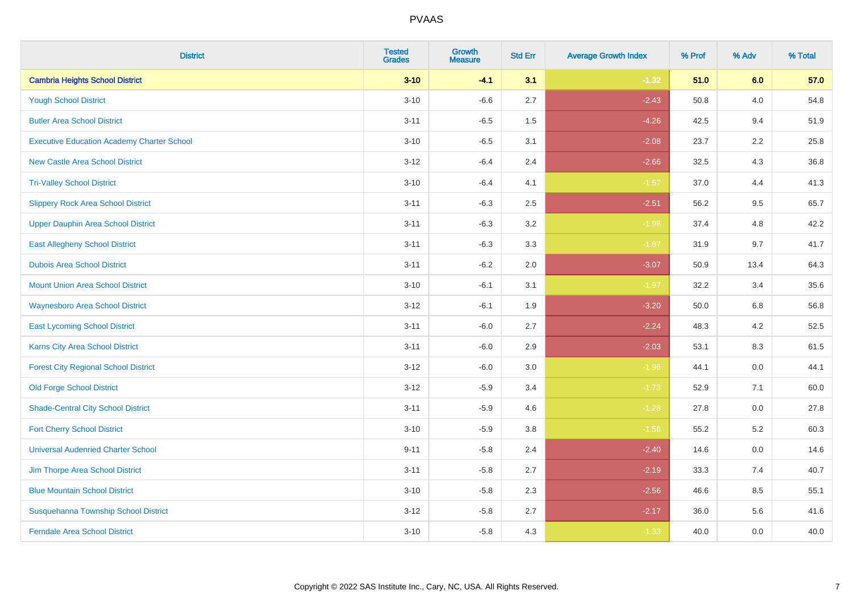| <b>District</b>                                   | <b>Tested</b><br><b>Grades</b> | <b>Growth</b><br><b>Measure</b> | <b>Std Err</b> | <b>Average Growth Index</b> | % Prof | % Adv | % Total |
|---------------------------------------------------|--------------------------------|---------------------------------|----------------|-----------------------------|--------|-------|---------|
| <b>Cambria Heights School District</b>            | $3 - 10$                       | $-4.1$                          | 3.1            | $-1.32$                     | 51.0   | 6.0   | 57.0    |
| <b>Yough School District</b>                      | $3 - 10$                       | $-6.6$                          | 2.7            | $-2.43$                     | 50.8   | 4.0   | 54.8    |
| <b>Butler Area School District</b>                | $3 - 11$                       | $-6.5$                          | 1.5            | $-4.26$                     | 42.5   | 9.4   | 51.9    |
| <b>Executive Education Academy Charter School</b> | $3 - 10$                       | $-6.5$                          | 3.1            | $-2.08$                     | 23.7   | 2.2   | 25.8    |
| <b>New Castle Area School District</b>            | $3 - 12$                       | $-6.4$                          | 2.4            | $-2.66$                     | 32.5   | 4.3   | 36.8    |
| <b>Tri-Valley School District</b>                 | $3 - 10$                       | $-6.4$                          | 4.1            | $-1.57$                     | 37.0   | 4.4   | 41.3    |
| <b>Slippery Rock Area School District</b>         | $3 - 11$                       | $-6.3$                          | 2.5            | $-2.51$                     | 56.2   | 9.5   | 65.7    |
| <b>Upper Dauphin Area School District</b>         | $3 - 11$                       | $-6.3$                          | 3.2            | $-1.98$                     | 37.4   | 4.8   | 42.2    |
| <b>East Allegheny School District</b>             | $3 - 11$                       | $-6.3$                          | 3.3            | $-1.87$                     | 31.9   | 9.7   | 41.7    |
| <b>Dubois Area School District</b>                | $3 - 11$                       | $-6.2$                          | 2.0            | $-3.07$                     | 50.9   | 13.4  | 64.3    |
| <b>Mount Union Area School District</b>           | $3 - 10$                       | $-6.1$                          | 3.1            | $-1.97$                     | 32.2   | 3.4   | 35.6    |
| <b>Waynesboro Area School District</b>            | $3 - 12$                       | $-6.1$                          | 1.9            | $-3.20$                     | 50.0   | 6.8   | 56.8    |
| <b>East Lycoming School District</b>              | $3 - 11$                       | $-6.0$                          | 2.7            | $-2.24$                     | 48.3   | 4.2   | 52.5    |
| <b>Karns City Area School District</b>            | $3 - 11$                       | $-6.0$                          | 2.9            | $-2.03$                     | 53.1   | 8.3   | 61.5    |
| <b>Forest City Regional School District</b>       | $3 - 12$                       | $-6.0$                          | 3.0            | $-1.96$                     | 44.1   | 0.0   | 44.1    |
| <b>Old Forge School District</b>                  | $3 - 12$                       | $-5.9$                          | 3.4            | $-1.73$                     | 52.9   | 7.1   | 60.0    |
| <b>Shade-Central City School District</b>         | $3 - 11$                       | $-5.9$                          | 4.6            | $-1.28$                     | 27.8   | 0.0   | 27.8    |
| <b>Fort Cherry School District</b>                | $3 - 10$                       | $-5.9$                          | 3.8            | $-1.56$                     | 55.2   | 5.2   | 60.3    |
| <b>Universal Audenried Charter School</b>         | $9 - 11$                       | $-5.8$                          | 2.4            | $-2.40$                     | 14.6   | 0.0   | 14.6    |
| Jim Thorpe Area School District                   | $3 - 11$                       | $-5.8$                          | 2.7            | $-2.19$                     | 33.3   | 7.4   | 40.7    |
| <b>Blue Mountain School District</b>              | $3 - 10$                       | $-5.8$                          | 2.3            | $-2.56$                     | 46.6   | 8.5   | 55.1    |
| Susquehanna Township School District              | $3 - 12$                       | $-5.8$                          | 2.7            | $-2.17$                     | 36.0   | 5.6   | 41.6    |
| <b>Ferndale Area School District</b>              | $3 - 10$                       | $-5.8$                          | 4.3            | $-1.33$                     | 40.0   | 0.0   | 40.0    |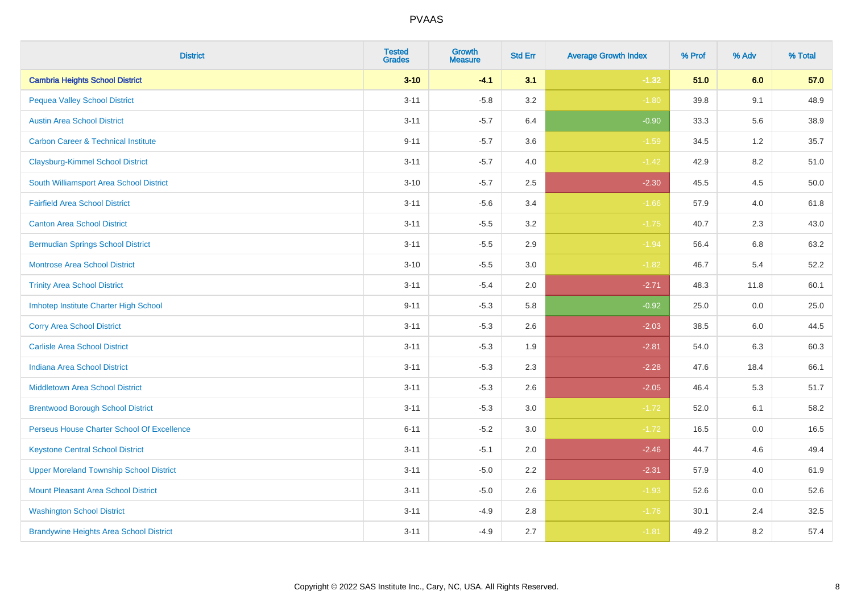| <b>District</b>                                | <b>Tested</b><br><b>Grades</b> | <b>Growth</b><br><b>Measure</b> | <b>Std Err</b> | <b>Average Growth Index</b> | % Prof | % Adv | % Total |
|------------------------------------------------|--------------------------------|---------------------------------|----------------|-----------------------------|--------|-------|---------|
| <b>Cambria Heights School District</b>         | $3 - 10$                       | $-4.1$                          | 3.1            | $-1.32$                     | 51.0   | 6.0   | 57.0    |
| <b>Pequea Valley School District</b>           | $3 - 11$                       | $-5.8$                          | 3.2            | $-1.80$                     | 39.8   | 9.1   | 48.9    |
| <b>Austin Area School District</b>             | $3 - 11$                       | $-5.7$                          | 6.4            | $-0.90$                     | 33.3   | 5.6   | 38.9    |
| <b>Carbon Career &amp; Technical Institute</b> | $9 - 11$                       | $-5.7$                          | 3.6            | $-1.59$                     | 34.5   | 1.2   | 35.7    |
| <b>Claysburg-Kimmel School District</b>        | $3 - 11$                       | $-5.7$                          | 4.0            | $-1.42$                     | 42.9   | 8.2   | 51.0    |
| South Williamsport Area School District        | $3 - 10$                       | $-5.7$                          | 2.5            | $-2.30$                     | 45.5   | 4.5   | 50.0    |
| <b>Fairfield Area School District</b>          | $3 - 11$                       | $-5.6$                          | 3.4            | $-1.66$                     | 57.9   | 4.0   | 61.8    |
| <b>Canton Area School District</b>             | $3 - 11$                       | $-5.5$                          | 3.2            | $-1.75$                     | 40.7   | 2.3   | 43.0    |
| <b>Bermudian Springs School District</b>       | $3 - 11$                       | $-5.5$                          | 2.9            | $-1.94$                     | 56.4   | 6.8   | 63.2    |
| <b>Montrose Area School District</b>           | $3 - 10$                       | $-5.5$                          | 3.0            | $-1.82$                     | 46.7   | 5.4   | 52.2    |
| <b>Trinity Area School District</b>            | $3 - 11$                       | $-5.4$                          | 2.0            | $-2.71$                     | 48.3   | 11.8  | 60.1    |
| Imhotep Institute Charter High School          | $9 - 11$                       | $-5.3$                          | 5.8            | $-0.92$                     | 25.0   | 0.0   | 25.0    |
| <b>Corry Area School District</b>              | $3 - 11$                       | $-5.3$                          | 2.6            | $-2.03$                     | 38.5   | 6.0   | 44.5    |
| <b>Carlisle Area School District</b>           | $3 - 11$                       | $-5.3$                          | 1.9            | $-2.81$                     | 54.0   | 6.3   | 60.3    |
| <b>Indiana Area School District</b>            | $3 - 11$                       | $-5.3$                          | 2.3            | $-2.28$                     | 47.6   | 18.4  | 66.1    |
| <b>Middletown Area School District</b>         | $3 - 11$                       | $-5.3$                          | 2.6            | $-2.05$                     | 46.4   | 5.3   | 51.7    |
| <b>Brentwood Borough School District</b>       | $3 - 11$                       | $-5.3$                          | 3.0            | $-1.72$                     | 52.0   | 6.1   | 58.2    |
| Perseus House Charter School Of Excellence     | $6 - 11$                       | $-5.2$                          | 3.0            | $-1.72$                     | 16.5   | 0.0   | 16.5    |
| <b>Keystone Central School District</b>        | $3 - 11$                       | $-5.1$                          | 2.0            | $-2.46$                     | 44.7   | 4.6   | 49.4    |
| <b>Upper Moreland Township School District</b> | $3 - 11$                       | $-5.0$                          | 2.2            | $-2.31$                     | 57.9   | 4.0   | 61.9    |
| <b>Mount Pleasant Area School District</b>     | $3 - 11$                       | $-5.0$                          | 2.6            | $-1.93$                     | 52.6   | 0.0   | 52.6    |
| <b>Washington School District</b>              | $3 - 11$                       | $-4.9$                          | 2.8            | $-1.76$                     | 30.1   | 2.4   | 32.5    |
| <b>Brandywine Heights Area School District</b> | $3 - 11$                       | $-4.9$                          | 2.7            | $-1.81$                     | 49.2   | 8.2   | 57.4    |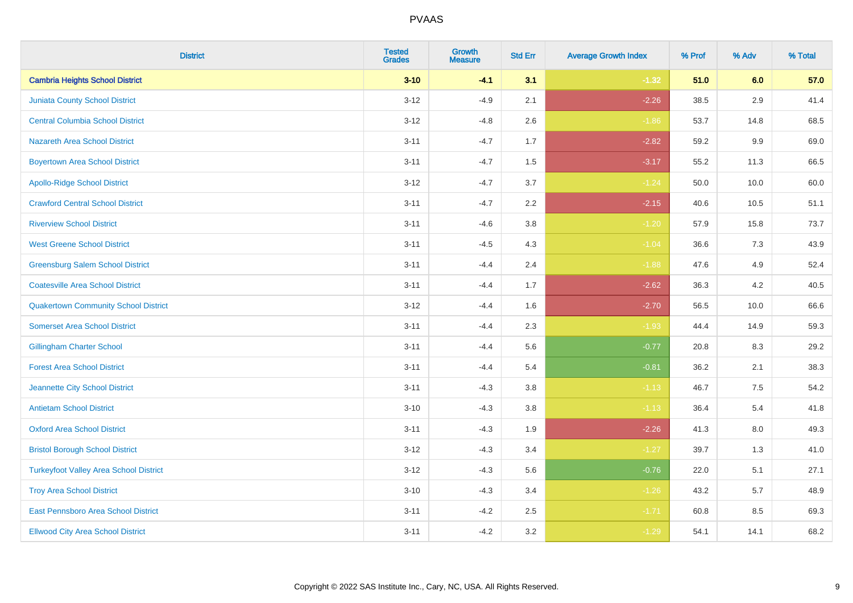| <b>District</b>                               | <b>Tested</b><br><b>Grades</b> | <b>Growth</b><br><b>Measure</b> | <b>Std Err</b> | <b>Average Growth Index</b> | % Prof | % Adv   | % Total |
|-----------------------------------------------|--------------------------------|---------------------------------|----------------|-----------------------------|--------|---------|---------|
| <b>Cambria Heights School District</b>        | $3 - 10$                       | $-4.1$                          | 3.1            | $-1.32$                     | 51.0   | 6.0     | 57.0    |
| <b>Juniata County School District</b>         | $3 - 12$                       | $-4.9$                          | 2.1            | $-2.26$                     | 38.5   | 2.9     | 41.4    |
| <b>Central Columbia School District</b>       | $3 - 12$                       | $-4.8$                          | 2.6            | $-1.86$                     | 53.7   | 14.8    | 68.5    |
| <b>Nazareth Area School District</b>          | $3 - 11$                       | $-4.7$                          | 1.7            | $-2.82$                     | 59.2   | $9.9\,$ | 69.0    |
| <b>Boyertown Area School District</b>         | $3 - 11$                       | $-4.7$                          | 1.5            | $-3.17$                     | 55.2   | 11.3    | 66.5    |
| <b>Apollo-Ridge School District</b>           | $3 - 12$                       | $-4.7$                          | 3.7            | $-1.24$                     | 50.0   | 10.0    | 60.0    |
| <b>Crawford Central School District</b>       | $3 - 11$                       | $-4.7$                          | 2.2            | $-2.15$                     | 40.6   | 10.5    | 51.1    |
| <b>Riverview School District</b>              | $3 - 11$                       | $-4.6$                          | 3.8            | $-1.20$                     | 57.9   | 15.8    | 73.7    |
| <b>West Greene School District</b>            | $3 - 11$                       | $-4.5$                          | 4.3            | $-1.04$                     | 36.6   | 7.3     | 43.9    |
| <b>Greensburg Salem School District</b>       | $3 - 11$                       | $-4.4$                          | 2.4            | $-1.88$                     | 47.6   | 4.9     | 52.4    |
| <b>Coatesville Area School District</b>       | $3 - 11$                       | $-4.4$                          | 1.7            | $-2.62$                     | 36.3   | 4.2     | 40.5    |
| <b>Quakertown Community School District</b>   | $3 - 12$                       | $-4.4$                          | 1.6            | $-2.70$                     | 56.5   | 10.0    | 66.6    |
| <b>Somerset Area School District</b>          | $3 - 11$                       | $-4.4$                          | 2.3            | $-1.93$                     | 44.4   | 14.9    | 59.3    |
| <b>Gillingham Charter School</b>              | $3 - 11$                       | $-4.4$                          | 5.6            | $-0.77$                     | 20.8   | 8.3     | 29.2    |
| <b>Forest Area School District</b>            | $3 - 11$                       | $-4.4$                          | 5.4            | $-0.81$                     | 36.2   | 2.1     | 38.3    |
| Jeannette City School District                | $3 - 11$                       | $-4.3$                          | 3.8            | $-1.13$                     | 46.7   | $7.5\,$ | 54.2    |
| <b>Antietam School District</b>               | $3 - 10$                       | $-4.3$                          | 3.8            | $-1.13$                     | 36.4   | $5.4$   | 41.8    |
| <b>Oxford Area School District</b>            | $3 - 11$                       | $-4.3$                          | 1.9            | $-2.26$                     | 41.3   | 8.0     | 49.3    |
| <b>Bristol Borough School District</b>        | $3 - 12$                       | $-4.3$                          | 3.4            | $-1.27$                     | 39.7   | 1.3     | 41.0    |
| <b>Turkeyfoot Valley Area School District</b> | $3 - 12$                       | $-4.3$                          | 5.6            | $-0.76$                     | 22.0   | 5.1     | 27.1    |
| <b>Troy Area School District</b>              | $3 - 10$                       | $-4.3$                          | 3.4            | $-1.26$                     | 43.2   | 5.7     | 48.9    |
| East Pennsboro Area School District           | $3 - 11$                       | $-4.2$                          | 2.5            | $-1.71$                     | 60.8   | 8.5     | 69.3    |
| <b>Ellwood City Area School District</b>      | $3 - 11$                       | $-4.2$                          | 3.2            | $-1.29$                     | 54.1   | 14.1    | 68.2    |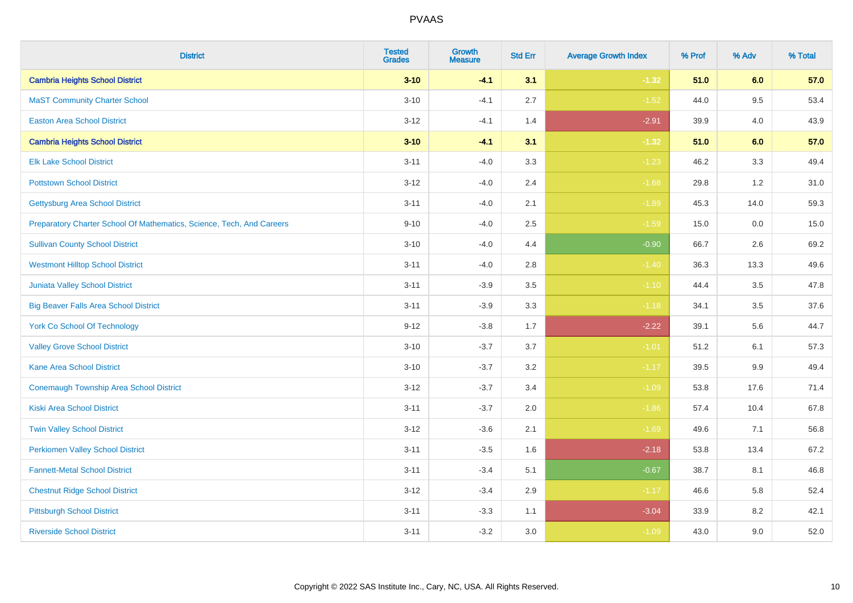| <b>District</b>                                                       | <b>Tested</b><br><b>Grades</b> | <b>Growth</b><br><b>Measure</b> | <b>Std Err</b> | <b>Average Growth Index</b> | % Prof | % Adv | % Total |
|-----------------------------------------------------------------------|--------------------------------|---------------------------------|----------------|-----------------------------|--------|-------|---------|
| <b>Cambria Heights School District</b>                                | $3 - 10$                       | $-4.1$                          | 3.1            | $-1.32$                     | 51.0   | 6.0   | 57.0    |
| <b>MaST Community Charter School</b>                                  | $3 - 10$                       | $-4.1$                          | 2.7            | $-1.52$                     | 44.0   | 9.5   | 53.4    |
| <b>Easton Area School District</b>                                    | $3 - 12$                       | $-4.1$                          | 1.4            | $-2.91$                     | 39.9   | 4.0   | 43.9    |
| <b>Cambria Heights School District</b>                                | $3 - 10$                       | $-4.1$                          | 3.1            | $-1.32$                     | 51.0   | 6.0   | 57.0    |
| <b>Elk Lake School District</b>                                       | $3 - 11$                       | $-4.0$                          | 3.3            | $-1.23$                     | 46.2   | 3.3   | 49.4    |
| <b>Pottstown School District</b>                                      | $3 - 12$                       | $-4.0$                          | 2.4            | $-1.68$                     | 29.8   | 1.2   | 31.0    |
| <b>Gettysburg Area School District</b>                                | $3 - 11$                       | $-4.0$                          | 2.1            | $-1.89$                     | 45.3   | 14.0  | 59.3    |
| Preparatory Charter School Of Mathematics, Science, Tech, And Careers | $9 - 10$                       | $-4.0$                          | 2.5            | $-1.59$                     | 15.0   | 0.0   | 15.0    |
| <b>Sullivan County School District</b>                                | $3 - 10$                       | $-4.0$                          | 4.4            | $-0.90$                     | 66.7   | 2.6   | 69.2    |
| <b>Westmont Hilltop School District</b>                               | $3 - 11$                       | $-4.0$                          | 2.8            | $-1.40$                     | 36.3   | 13.3  | 49.6    |
| <b>Juniata Valley School District</b>                                 | $3 - 11$                       | $-3.9$                          | 3.5            | $-1.10$                     | 44.4   | 3.5   | 47.8    |
| <b>Big Beaver Falls Area School District</b>                          | $3 - 11$                       | $-3.9$                          | 3.3            | $-1.18$                     | 34.1   | 3.5   | 37.6    |
| <b>York Co School Of Technology</b>                                   | $9 - 12$                       | $-3.8$                          | 1.7            | $-2.22$                     | 39.1   | 5.6   | 44.7    |
| <b>Valley Grove School District</b>                                   | $3 - 10$                       | $-3.7$                          | 3.7            | $-1.01$                     | 51.2   | 6.1   | 57.3    |
| <b>Kane Area School District</b>                                      | $3 - 10$                       | $-3.7$                          | 3.2            | $-1.17$                     | 39.5   | 9.9   | 49.4    |
| Conemaugh Township Area School District                               | $3 - 12$                       | $-3.7$                          | 3.4            | $-1.09$                     | 53.8   | 17.6  | 71.4    |
| <b>Kiski Area School District</b>                                     | $3 - 11$                       | $-3.7$                          | 2.0            | $-1.86$                     | 57.4   | 10.4  | 67.8    |
| <b>Twin Valley School District</b>                                    | $3 - 12$                       | $-3.6$                          | 2.1            | $-1.69$                     | 49.6   | 7.1   | 56.8    |
| <b>Perkiomen Valley School District</b>                               | $3 - 11$                       | $-3.5$                          | 1.6            | $-2.18$                     | 53.8   | 13.4  | 67.2    |
| <b>Fannett-Metal School District</b>                                  | $3 - 11$                       | $-3.4$                          | 5.1            | $-0.67$                     | 38.7   | 8.1   | 46.8    |
| <b>Chestnut Ridge School District</b>                                 | $3 - 12$                       | $-3.4$                          | 2.9            | $-1.17$                     | 46.6   | 5.8   | 52.4    |
| <b>Pittsburgh School District</b>                                     | $3 - 11$                       | $-3.3$                          | 1.1            | $-3.04$                     | 33.9   | 8.2   | 42.1    |
| <b>Riverside School District</b>                                      | $3 - 11$                       | $-3.2$                          | 3.0            | $-1.09$                     | 43.0   | 9.0   | 52.0    |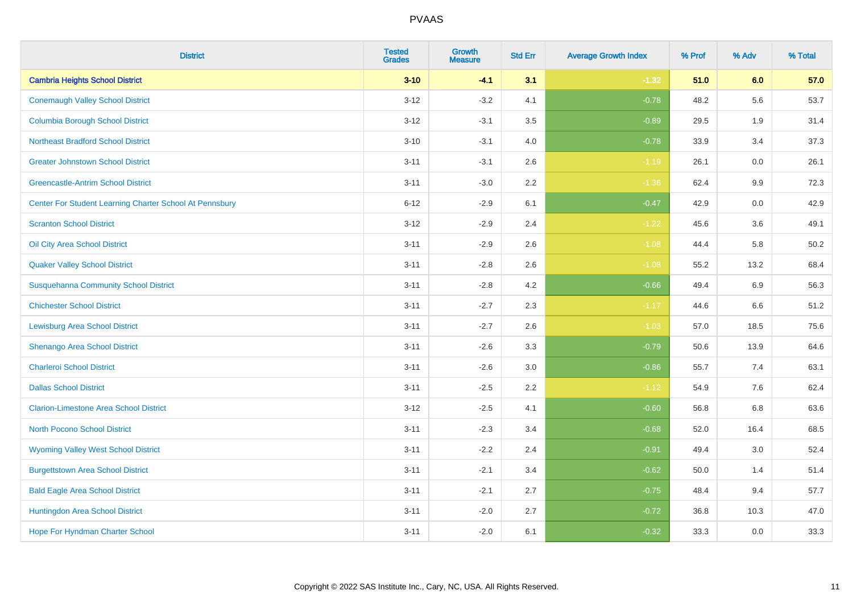| <b>District</b>                                         | <b>Tested</b><br><b>Grades</b> | <b>Growth</b><br><b>Measure</b> | <b>Std Err</b> | <b>Average Growth Index</b> | % Prof | % Adv   | % Total |
|---------------------------------------------------------|--------------------------------|---------------------------------|----------------|-----------------------------|--------|---------|---------|
| <b>Cambria Heights School District</b>                  | $3 - 10$                       | $-4.1$                          | 3.1            | $-1.32$                     | 51.0   | 6.0     | 57.0    |
| <b>Conemaugh Valley School District</b>                 | $3 - 12$                       | $-3.2$                          | 4.1            | $-0.78$                     | 48.2   | 5.6     | 53.7    |
| <b>Columbia Borough School District</b>                 | $3 - 12$                       | $-3.1$                          | 3.5            | $-0.89$                     | 29.5   | 1.9     | 31.4    |
| <b>Northeast Bradford School District</b>               | $3 - 10$                       | $-3.1$                          | 4.0            | $-0.78$                     | 33.9   | 3.4     | 37.3    |
| <b>Greater Johnstown School District</b>                | $3 - 11$                       | $-3.1$                          | 2.6            | $-1.19$                     | 26.1   | 0.0     | 26.1    |
| <b>Greencastle-Antrim School District</b>               | $3 - 11$                       | $-3.0$                          | 2.2            | $-1.36$                     | 62.4   | 9.9     | 72.3    |
| Center For Student Learning Charter School At Pennsbury | $6 - 12$                       | $-2.9$                          | 6.1            | $-0.47$                     | 42.9   | 0.0     | 42.9    |
| <b>Scranton School District</b>                         | $3 - 12$                       | $-2.9$                          | 2.4            | $-1.22$                     | 45.6   | 3.6     | 49.1    |
| Oil City Area School District                           | $3 - 11$                       | $-2.9$                          | 2.6            | $-1.08$                     | 44.4   | 5.8     | 50.2    |
| <b>Quaker Valley School District</b>                    | $3 - 11$                       | $-2.8$                          | 2.6            | $-1.08$                     | 55.2   | 13.2    | 68.4    |
| <b>Susquehanna Community School District</b>            | $3 - 11$                       | $-2.8$                          | 4.2            | $-0.66$                     | 49.4   | 6.9     | 56.3    |
| <b>Chichester School District</b>                       | $3 - 11$                       | $-2.7$                          | 2.3            | $-1.17$                     | 44.6   | 6.6     | 51.2    |
| <b>Lewisburg Area School District</b>                   | $3 - 11$                       | $-2.7$                          | 2.6            | $-1.03$                     | 57.0   | 18.5    | 75.6    |
| Shenango Area School District                           | $3 - 11$                       | $-2.6$                          | 3.3            | $-0.79$                     | 50.6   | 13.9    | 64.6    |
| <b>Charleroi School District</b>                        | $3 - 11$                       | $-2.6$                          | 3.0            | $-0.86$                     | 55.7   | 7.4     | 63.1    |
| <b>Dallas School District</b>                           | $3 - 11$                       | $-2.5$                          | 2.2            | $-1.12$                     | 54.9   | $7.6\,$ | 62.4    |
| <b>Clarion-Limestone Area School District</b>           | $3 - 12$                       | $-2.5$                          | 4.1            | $-0.60$                     | 56.8   | 6.8     | 63.6    |
| North Pocono School District                            | $3 - 11$                       | $-2.3$                          | 3.4            | $-0.68$                     | 52.0   | 16.4    | 68.5    |
| <b>Wyoming Valley West School District</b>              | $3 - 11$                       | $-2.2$                          | 2.4            | $-0.91$                     | 49.4   | 3.0     | 52.4    |
| <b>Burgettstown Area School District</b>                | $3 - 11$                       | $-2.1$                          | 3.4            | $-0.62$                     | 50.0   | 1.4     | 51.4    |
| <b>Bald Eagle Area School District</b>                  | $3 - 11$                       | $-2.1$                          | 2.7            | $-0.75$                     | 48.4   | 9.4     | 57.7    |
| Huntingdon Area School District                         | $3 - 11$                       | $-2.0$                          | 2.7            | $-0.72$                     | 36.8   | 10.3    | 47.0    |
| <b>Hope For Hyndman Charter School</b>                  | $3 - 11$                       | $-2.0$                          | 6.1            | $-0.32$                     | 33.3   | 0.0     | 33.3    |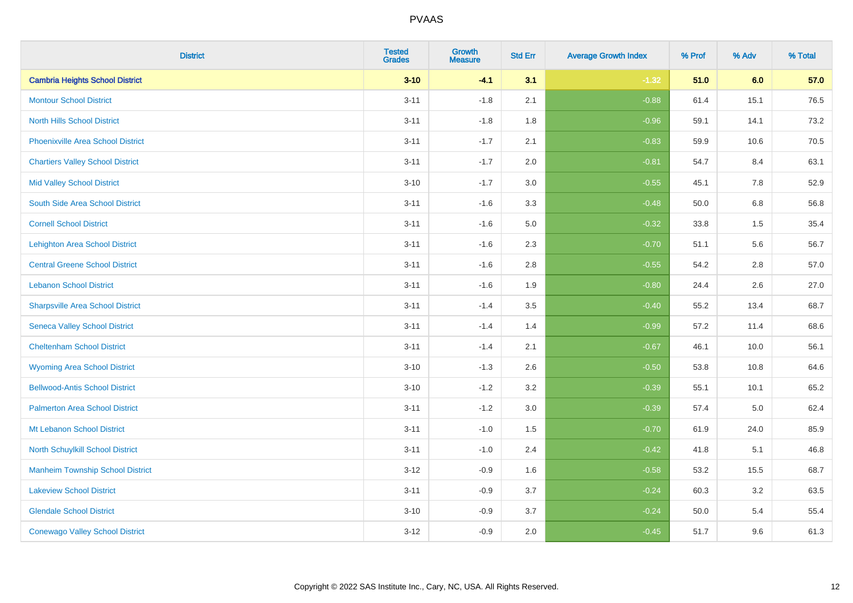| <b>District</b>                          | <b>Tested</b><br><b>Grades</b> | <b>Growth</b><br><b>Measure</b> | <b>Std Err</b> | <b>Average Growth Index</b> | % Prof | % Adv | % Total |
|------------------------------------------|--------------------------------|---------------------------------|----------------|-----------------------------|--------|-------|---------|
| <b>Cambria Heights School District</b>   | $3 - 10$                       | $-4.1$                          | 3.1            | $-1.32$                     | 51.0   | 6.0   | 57.0    |
| <b>Montour School District</b>           | $3 - 11$                       | $-1.8$                          | 2.1            | $-0.88$                     | 61.4   | 15.1  | 76.5    |
| <b>North Hills School District</b>       | $3 - 11$                       | $-1.8$                          | 1.8            | $-0.96$                     | 59.1   | 14.1  | 73.2    |
| <b>Phoenixville Area School District</b> | $3 - 11$                       | $-1.7$                          | 2.1            | $-0.83$                     | 59.9   | 10.6  | 70.5    |
| <b>Chartiers Valley School District</b>  | $3 - 11$                       | $-1.7$                          | 2.0            | $-0.81$                     | 54.7   | 8.4   | 63.1    |
| <b>Mid Valley School District</b>        | $3 - 10$                       | $-1.7$                          | 3.0            | $-0.55$                     | 45.1   | 7.8   | 52.9    |
| South Side Area School District          | $3 - 11$                       | $-1.6$                          | 3.3            | $-0.48$                     | 50.0   | 6.8   | 56.8    |
| <b>Cornell School District</b>           | $3 - 11$                       | $-1.6$                          | 5.0            | $-0.32$                     | 33.8   | 1.5   | 35.4    |
| <b>Lehighton Area School District</b>    | $3 - 11$                       | $-1.6$                          | 2.3            | $-0.70$                     | 51.1   | 5.6   | 56.7    |
| <b>Central Greene School District</b>    | $3 - 11$                       | $-1.6$                          | 2.8            | $-0.55$                     | 54.2   | 2.8   | 57.0    |
| <b>Lebanon School District</b>           | $3 - 11$                       | $-1.6$                          | 1.9            | $-0.80$                     | 24.4   | 2.6   | 27.0    |
| <b>Sharpsville Area School District</b>  | $3 - 11$                       | $-1.4$                          | 3.5            | $-0.40$                     | 55.2   | 13.4  | 68.7    |
| <b>Seneca Valley School District</b>     | $3 - 11$                       | $-1.4$                          | 1.4            | $-0.99$                     | 57.2   | 11.4  | 68.6    |
| <b>Cheltenham School District</b>        | $3 - 11$                       | $-1.4$                          | 2.1            | $-0.67$                     | 46.1   | 10.0  | 56.1    |
| <b>Wyoming Area School District</b>      | $3 - 10$                       | $-1.3$                          | 2.6            | $-0.50$                     | 53.8   | 10.8  | 64.6    |
| <b>Bellwood-Antis School District</b>    | $3 - 10$                       | $-1.2$                          | 3.2            | $-0.39$                     | 55.1   | 10.1  | 65.2    |
| <b>Palmerton Area School District</b>    | $3 - 11$                       | $-1.2$                          | 3.0            | $-0.39$                     | 57.4   | 5.0   | 62.4    |
| Mt Lebanon School District               | $3 - 11$                       | $-1.0$                          | 1.5            | $-0.70$                     | 61.9   | 24.0  | 85.9    |
| <b>North Schuylkill School District</b>  | $3 - 11$                       | $-1.0$                          | 2.4            | $-0.42$                     | 41.8   | 5.1   | 46.8    |
| <b>Manheim Township School District</b>  | $3 - 12$                       | $-0.9$                          | 1.6            | $-0.58$                     | 53.2   | 15.5  | 68.7    |
| <b>Lakeview School District</b>          | $3 - 11$                       | $-0.9$                          | 3.7            | $-0.24$                     | 60.3   | 3.2   | 63.5    |
| <b>Glendale School District</b>          | $3 - 10$                       | $-0.9$                          | 3.7            | $-0.24$                     | 50.0   | 5.4   | 55.4    |
| <b>Conewago Valley School District</b>   | $3 - 12$                       | $-0.9$                          | 2.0            | $-0.45$                     | 51.7   | 9.6   | 61.3    |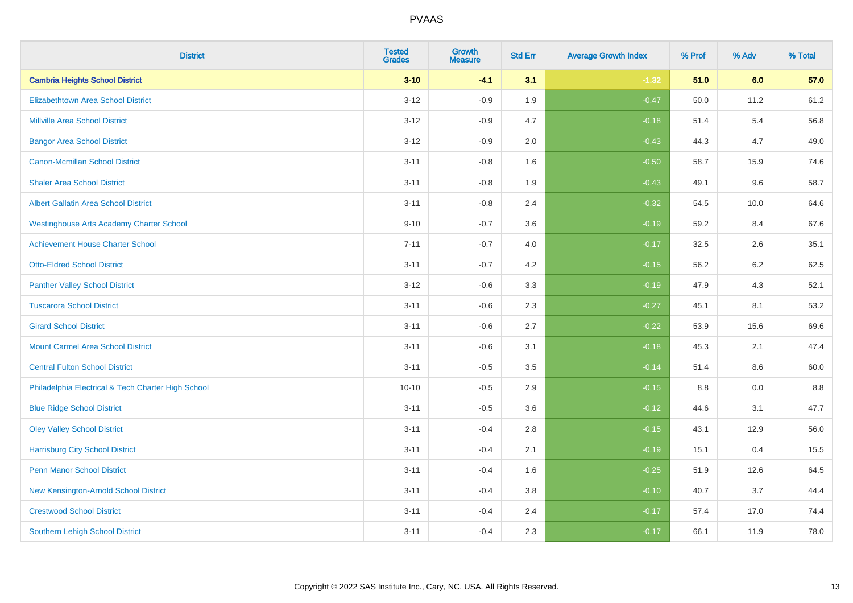| <b>District</b>                                    | <b>Tested</b><br><b>Grades</b> | <b>Growth</b><br><b>Measure</b> | <b>Std Err</b> | <b>Average Growth Index</b> | % Prof | % Adv   | % Total |
|----------------------------------------------------|--------------------------------|---------------------------------|----------------|-----------------------------|--------|---------|---------|
| <b>Cambria Heights School District</b>             | $3 - 10$                       | $-4.1$                          | 3.1            | $-1.32$                     | 51.0   | 6.0     | 57.0    |
| <b>Elizabethtown Area School District</b>          | $3 - 12$                       | $-0.9$                          | 1.9            | $-0.47$                     | 50.0   | 11.2    | 61.2    |
| <b>Millville Area School District</b>              | $3-12$                         | $-0.9$                          | 4.7            | $-0.18$                     | 51.4   | 5.4     | 56.8    |
| <b>Bangor Area School District</b>                 | $3 - 12$                       | $-0.9$                          | 2.0            | $-0.43$                     | 44.3   | 4.7     | 49.0    |
| <b>Canon-Mcmillan School District</b>              | $3 - 11$                       | $-0.8$                          | 1.6            | $-0.50$                     | 58.7   | 15.9    | 74.6    |
| <b>Shaler Area School District</b>                 | $3 - 11$                       | $-0.8$                          | 1.9            | $-0.43$                     | 49.1   | 9.6     | 58.7    |
| <b>Albert Gallatin Area School District</b>        | $3 - 11$                       | $-0.8$                          | 2.4            | $-0.32$                     | 54.5   | 10.0    | 64.6    |
| <b>Westinghouse Arts Academy Charter School</b>    | $9 - 10$                       | $-0.7$                          | 3.6            | $-0.19$                     | 59.2   | 8.4     | 67.6    |
| <b>Achievement House Charter School</b>            | $7 - 11$                       | $-0.7$                          | 4.0            | $-0.17$                     | 32.5   | 2.6     | 35.1    |
| <b>Otto-Eldred School District</b>                 | $3 - 11$                       | $-0.7$                          | 4.2            | $-0.15$                     | 56.2   | $6.2\,$ | 62.5    |
| <b>Panther Valley School District</b>              | $3 - 12$                       | $-0.6$                          | 3.3            | $-0.19$                     | 47.9   | 4.3     | 52.1    |
| <b>Tuscarora School District</b>                   | $3 - 11$                       | $-0.6$                          | 2.3            | $-0.27$                     | 45.1   | 8.1     | 53.2    |
| <b>Girard School District</b>                      | $3 - 11$                       | $-0.6$                          | 2.7            | $-0.22$                     | 53.9   | 15.6    | 69.6    |
| <b>Mount Carmel Area School District</b>           | $3 - 11$                       | $-0.6$                          | 3.1            | $-0.18$                     | 45.3   | 2.1     | 47.4    |
| <b>Central Fulton School District</b>              | $3 - 11$                       | $-0.5$                          | 3.5            | $-0.14$                     | 51.4   | 8.6     | 60.0    |
| Philadelphia Electrical & Tech Charter High School | $10 - 10$                      | $-0.5$                          | 2.9            | $-0.15$                     | 8.8    | 0.0     | 8.8     |
| <b>Blue Ridge School District</b>                  | $3 - 11$                       | $-0.5$                          | 3.6            | $-0.12$                     | 44.6   | 3.1     | 47.7    |
| <b>Oley Valley School District</b>                 | $3 - 11$                       | $-0.4$                          | 2.8            | $-0.15$                     | 43.1   | 12.9    | 56.0    |
| <b>Harrisburg City School District</b>             | $3 - 11$                       | $-0.4$                          | 2.1            | $-0.19$                     | 15.1   | 0.4     | 15.5    |
| <b>Penn Manor School District</b>                  | $3 - 11$                       | $-0.4$                          | 1.6            | $-0.25$                     | 51.9   | 12.6    | 64.5    |
| New Kensington-Arnold School District              | $3 - 11$                       | $-0.4$                          | 3.8            | $-0.10$                     | 40.7   | 3.7     | 44.4    |
| <b>Crestwood School District</b>                   | $3 - 11$                       | $-0.4$                          | 2.4            | $-0.17$                     | 57.4   | 17.0    | 74.4    |
| <b>Southern Lehigh School District</b>             | $3 - 11$                       | $-0.4$                          | 2.3            | $-0.17$                     | 66.1   | 11.9    | 78.0    |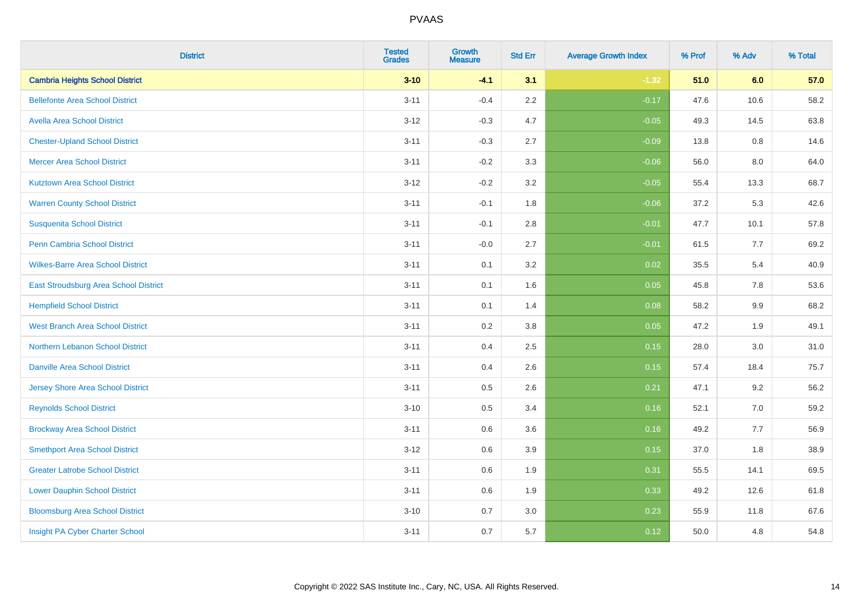| <b>District</b>                          | <b>Tested</b><br><b>Grades</b> | <b>Growth</b><br><b>Measure</b> | <b>Std Err</b> | <b>Average Growth Index</b> | % Prof | % Adv | % Total |
|------------------------------------------|--------------------------------|---------------------------------|----------------|-----------------------------|--------|-------|---------|
| <b>Cambria Heights School District</b>   | $3 - 10$                       | $-4.1$                          | 3.1            | $-1.32$                     | 51.0   | 6.0   | 57.0    |
| <b>Bellefonte Area School District</b>   | $3 - 11$                       | $-0.4$                          | $2.2\,$        | $-0.17$                     | 47.6   | 10.6  | 58.2    |
| <b>Avella Area School District</b>       | $3 - 12$                       | $-0.3$                          | 4.7            | $-0.05$                     | 49.3   | 14.5  | 63.8    |
| <b>Chester-Upland School District</b>    | $3 - 11$                       | $-0.3$                          | 2.7            | $-0.09$                     | 13.8   | 0.8   | 14.6    |
| <b>Mercer Area School District</b>       | $3 - 11$                       | $-0.2$                          | 3.3            | $-0.06$                     | 56.0   | 8.0   | 64.0    |
| <b>Kutztown Area School District</b>     | $3 - 12$                       | $-0.2$                          | 3.2            | $-0.05$                     | 55.4   | 13.3  | 68.7    |
| <b>Warren County School District</b>     | $3 - 11$                       | $-0.1$                          | 1.8            | $-0.06$                     | 37.2   | 5.3   | 42.6    |
| <b>Susquenita School District</b>        | $3 - 11$                       | $-0.1$                          | $2.8\,$        | $-0.01$                     | 47.7   | 10.1  | 57.8    |
| Penn Cambria School District             | $3 - 11$                       | $-0.0$                          | 2.7            | $-0.01$                     | 61.5   | 7.7   | 69.2    |
| <b>Wilkes-Barre Area School District</b> | $3 - 11$                       | 0.1                             | 3.2            | 0.02                        | 35.5   | 5.4   | 40.9    |
| East Stroudsburg Area School District    | $3 - 11$                       | 0.1                             | 1.6            | 0.05                        | 45.8   | 7.8   | 53.6    |
| <b>Hempfield School District</b>         | $3 - 11$                       | 0.1                             | 1.4            | 0.08                        | 58.2   | 9.9   | 68.2    |
| <b>West Branch Area School District</b>  | $3 - 11$                       | 0.2                             | $3.8\,$        | 0.05                        | 47.2   | 1.9   | 49.1    |
| Northern Lebanon School District         | $3 - 11$                       | 0.4                             | 2.5            | 0.15                        | 28.0   | 3.0   | 31.0    |
| <b>Danville Area School District</b>     | $3 - 11$                       | 0.4                             | 2.6            | 0.15                        | 57.4   | 18.4  | 75.7    |
| <b>Jersey Shore Area School District</b> | $3 - 11$                       | 0.5                             | 2.6            | 0.21                        | 47.1   | 9.2   | 56.2    |
| <b>Reynolds School District</b>          | $3 - 10$                       | 0.5                             | 3.4            | 0.16                        | 52.1   | 7.0   | 59.2    |
| <b>Brockway Area School District</b>     | $3 - 11$                       | 0.6                             | 3.6            | 0.16                        | 49.2   | 7.7   | 56.9    |
| <b>Smethport Area School District</b>    | $3 - 12$                       | 0.6                             | 3.9            | 0.15                        | 37.0   | 1.8   | 38.9    |
| <b>Greater Latrobe School District</b>   | $3 - 11$                       | 0.6                             | 1.9            | 0.31                        | 55.5   | 14.1  | 69.5    |
| <b>Lower Dauphin School District</b>     | $3 - 11$                       | 0.6                             | 1.9            | 0.33                        | 49.2   | 12.6  | 61.8    |
| <b>Bloomsburg Area School District</b>   | $3 - 10$                       | 0.7                             | 3.0            | 0.23                        | 55.9   | 11.8  | 67.6    |
| Insight PA Cyber Charter School          | $3 - 11$                       | 0.7                             | 5.7            | 0.12                        | 50.0   | 4.8   | 54.8    |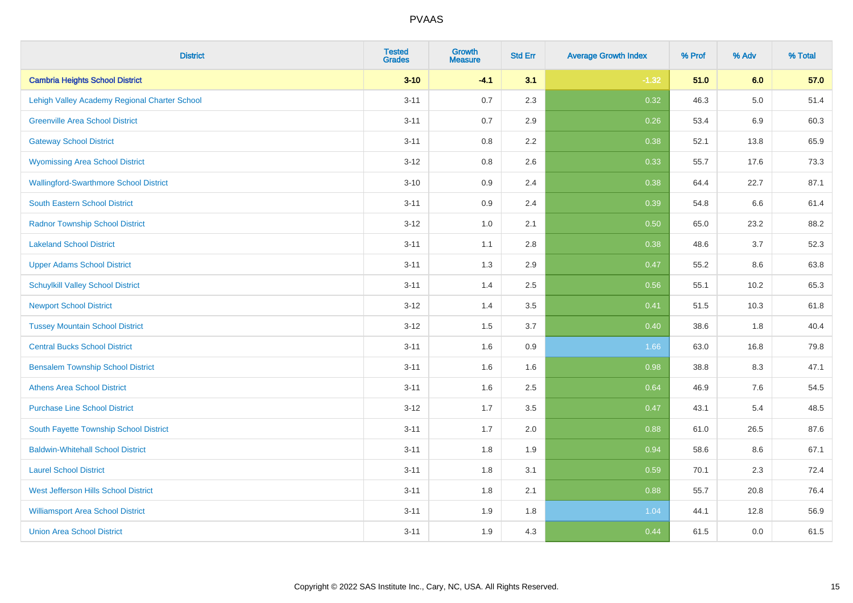| <b>District</b>                               | <b>Tested</b><br><b>Grades</b> | <b>Growth</b><br><b>Measure</b> | <b>Std Err</b> | <b>Average Growth Index</b> | % Prof | % Adv   | % Total |
|-----------------------------------------------|--------------------------------|---------------------------------|----------------|-----------------------------|--------|---------|---------|
| <b>Cambria Heights School District</b>        | $3 - 10$                       | $-4.1$                          | 3.1            | $-1.32$                     | 51.0   | 6.0     | 57.0    |
| Lehigh Valley Academy Regional Charter School | $3 - 11$                       | 0.7                             | 2.3            | 0.32                        | 46.3   | $5.0\,$ | 51.4    |
| <b>Greenville Area School District</b>        | $3 - 11$                       | 0.7                             | 2.9            | 0.26                        | 53.4   | 6.9     | 60.3    |
| <b>Gateway School District</b>                | $3 - 11$                       | $0.8\,$                         | 2.2            | 0.38                        | 52.1   | 13.8    | 65.9    |
| <b>Wyomissing Area School District</b>        | $3 - 12$                       | 0.8                             | 2.6            | 0.33                        | 55.7   | 17.6    | 73.3    |
| <b>Wallingford-Swarthmore School District</b> | $3 - 10$                       | 0.9                             | 2.4            | 0.38                        | 64.4   | 22.7    | 87.1    |
| South Eastern School District                 | $3 - 11$                       | 0.9                             | 2.4            | 0.39                        | 54.8   | 6.6     | 61.4    |
| <b>Radnor Township School District</b>        | $3 - 12$                       | 1.0                             | 2.1            | 0.50                        | 65.0   | 23.2    | 88.2    |
| <b>Lakeland School District</b>               | $3 - 11$                       | 1.1                             | 2.8            | 0.38                        | 48.6   | 3.7     | 52.3    |
| <b>Upper Adams School District</b>            | $3 - 11$                       | 1.3                             | 2.9            | 0.47                        | 55.2   | 8.6     | 63.8    |
| <b>Schuylkill Valley School District</b>      | $3 - 11$                       | 1.4                             | 2.5            | 0.56                        | 55.1   | 10.2    | 65.3    |
| <b>Newport School District</b>                | $3 - 12$                       | 1.4                             | 3.5            | 0.41                        | 51.5   | 10.3    | 61.8    |
| <b>Tussey Mountain School District</b>        | $3 - 12$                       | 1.5                             | 3.7            | 0.40                        | 38.6   | 1.8     | 40.4    |
| <b>Central Bucks School District</b>          | $3 - 11$                       | 1.6                             | $0.9\,$        | 1.66                        | 63.0   | 16.8    | 79.8    |
| <b>Bensalem Township School District</b>      | $3 - 11$                       | 1.6                             | 1.6            | 0.98                        | 38.8   | 8.3     | 47.1    |
| <b>Athens Area School District</b>            | $3 - 11$                       | 1.6                             | 2.5            | 0.64                        | 46.9   | 7.6     | 54.5    |
| <b>Purchase Line School District</b>          | $3 - 12$                       | 1.7                             | 3.5            | 0.47                        | 43.1   | 5.4     | 48.5    |
| South Fayette Township School District        | $3 - 11$                       | 1.7                             | 2.0            | 0.88                        | 61.0   | 26.5    | 87.6    |
| <b>Baldwin-Whitehall School District</b>      | $3 - 11$                       | 1.8                             | 1.9            | 0.94                        | 58.6   | 8.6     | 67.1    |
| <b>Laurel School District</b>                 | $3 - 11$                       | 1.8                             | 3.1            | 0.59                        | 70.1   | 2.3     | 72.4    |
| <b>West Jefferson Hills School District</b>   | $3 - 11$                       | 1.8                             | 2.1            | 0.88                        | 55.7   | 20.8    | 76.4    |
| <b>Williamsport Area School District</b>      | $3 - 11$                       | 1.9                             | 1.8            | 1.04                        | 44.1   | 12.8    | 56.9    |
| <b>Union Area School District</b>             | $3 - 11$                       | 1.9                             | 4.3            | 0.44                        | 61.5   | 0.0     | 61.5    |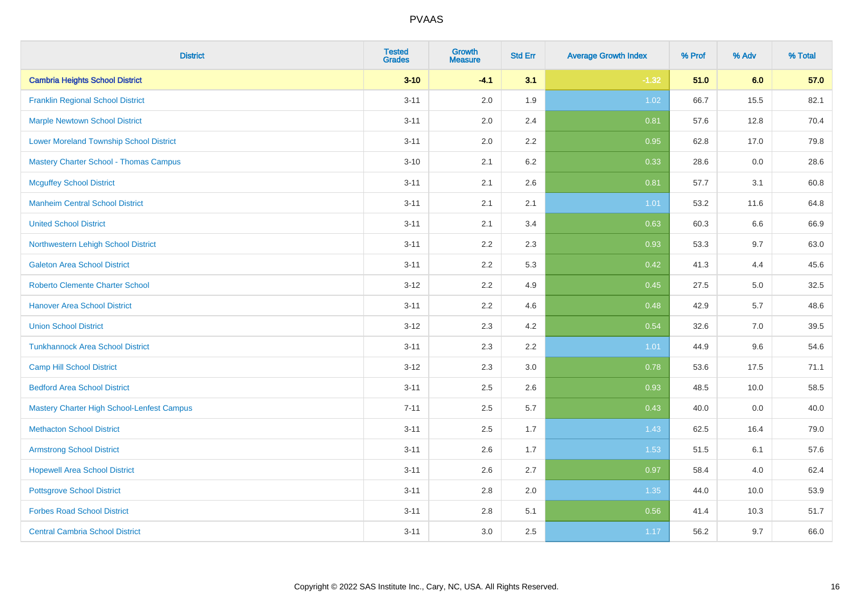| <b>District</b>                                | <b>Tested</b><br><b>Grades</b> | <b>Growth</b><br><b>Measure</b> | <b>Std Err</b> | <b>Average Growth Index</b> | % Prof | % Adv | % Total |
|------------------------------------------------|--------------------------------|---------------------------------|----------------|-----------------------------|--------|-------|---------|
| <b>Cambria Heights School District</b>         | $3 - 10$                       | $-4.1$                          | 3.1            | $-1.32$                     | 51.0   | 6.0   | 57.0    |
| <b>Franklin Regional School District</b>       | $3 - 11$                       | 2.0                             | 1.9            | 1.02                        | 66.7   | 15.5  | 82.1    |
| <b>Marple Newtown School District</b>          | $3 - 11$                       | 2.0                             | 2.4            | 0.81                        | 57.6   | 12.8  | 70.4    |
| <b>Lower Moreland Township School District</b> | $3 - 11$                       | 2.0                             | 2.2            | 0.95                        | 62.8   | 17.0  | 79.8    |
| Mastery Charter School - Thomas Campus         | $3 - 10$                       | 2.1                             | 6.2            | 0.33                        | 28.6   | 0.0   | 28.6    |
| <b>Mcguffey School District</b>                | $3 - 11$                       | 2.1                             | 2.6            | 0.81                        | 57.7   | 3.1   | 60.8    |
| <b>Manheim Central School District</b>         | $3 - 11$                       | 2.1                             | 2.1            | 1.01                        | 53.2   | 11.6  | 64.8    |
| <b>United School District</b>                  | $3 - 11$                       | 2.1                             | 3.4            | 0.63                        | 60.3   | 6.6   | 66.9    |
| Northwestern Lehigh School District            | $3 - 11$                       | 2.2                             | 2.3            | 0.93                        | 53.3   | 9.7   | 63.0    |
| <b>Galeton Area School District</b>            | $3 - 11$                       | 2.2                             | 5.3            | 0.42                        | 41.3   | 4.4   | 45.6    |
| <b>Roberto Clemente Charter School</b>         | $3 - 12$                       | 2.2                             | 4.9            | 0.45                        | 27.5   | 5.0   | 32.5    |
| <b>Hanover Area School District</b>            | $3 - 11$                       | 2.2                             | 4.6            | 0.48                        | 42.9   | 5.7   | 48.6    |
| <b>Union School District</b>                   | $3 - 12$                       | 2.3                             | 4.2            | 0.54                        | 32.6   | 7.0   | 39.5    |
| <b>Tunkhannock Area School District</b>        | $3 - 11$                       | 2.3                             | 2.2            | 1.01                        | 44.9   | 9.6   | 54.6    |
| <b>Camp Hill School District</b>               | $3 - 12$                       | 2.3                             | 3.0            | 0.78                        | 53.6   | 17.5  | 71.1    |
| <b>Bedford Area School District</b>            | $3 - 11$                       | 2.5                             | 2.6            | 0.93                        | 48.5   | 10.0  | 58.5    |
| Mastery Charter High School-Lenfest Campus     | $7 - 11$                       | 2.5                             | 5.7            | 0.43                        | 40.0   | 0.0   | 40.0    |
| <b>Methacton School District</b>               | $3 - 11$                       | 2.5                             | 1.7            | 1.43                        | 62.5   | 16.4  | 79.0    |
| <b>Armstrong School District</b>               | $3 - 11$                       | 2.6                             | 1.7            | 1.53                        | 51.5   | 6.1   | 57.6    |
| <b>Hopewell Area School District</b>           | $3 - 11$                       | 2.6                             | 2.7            | 0.97                        | 58.4   | 4.0   | 62.4    |
| <b>Pottsgrove School District</b>              | $3 - 11$                       | 2.8                             | 2.0            | 1.35                        | 44.0   | 10.0  | 53.9    |
| <b>Forbes Road School District</b>             | $3 - 11$                       | $2.8\,$                         | 5.1            | 0.56                        | 41.4   | 10.3  | 51.7    |
| <b>Central Cambria School District</b>         | $3 - 11$                       | 3.0                             | 2.5            | 1.17                        | 56.2   | 9.7   | 66.0    |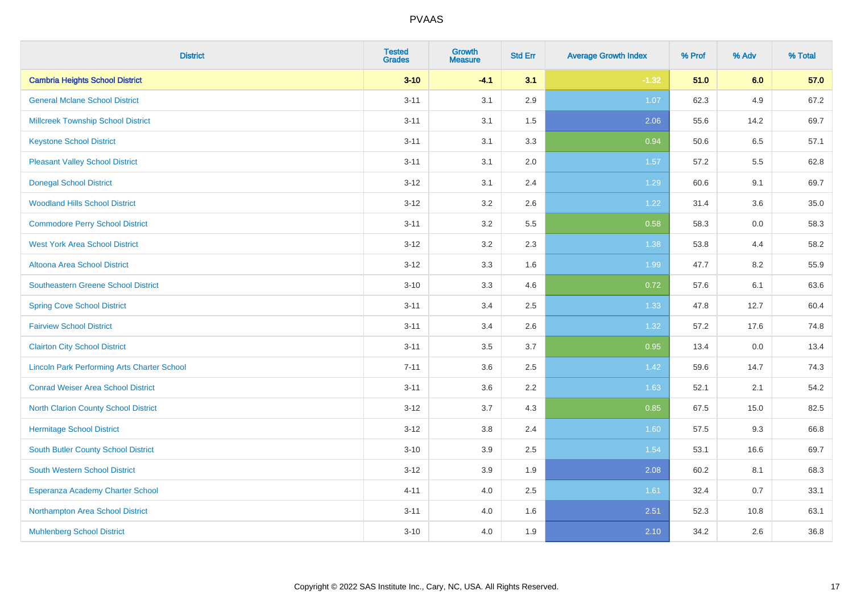| <b>District</b>                                    | <b>Tested</b><br><b>Grades</b> | <b>Growth</b><br><b>Measure</b> | <b>Std Err</b> | <b>Average Growth Index</b> | % Prof | % Adv | % Total |
|----------------------------------------------------|--------------------------------|---------------------------------|----------------|-----------------------------|--------|-------|---------|
| <b>Cambria Heights School District</b>             | $3 - 10$                       | $-4.1$                          | 3.1            | $-1.32$                     | 51.0   | 6.0   | 57.0    |
| <b>General Mclane School District</b>              | $3 - 11$                       | 3.1                             | 2.9            | 1.07                        | 62.3   | 4.9   | 67.2    |
| <b>Millcreek Township School District</b>          | $3 - 11$                       | 3.1                             | 1.5            | 2.06                        | 55.6   | 14.2  | 69.7    |
| <b>Keystone School District</b>                    | $3 - 11$                       | 3.1                             | 3.3            | 0.94                        | 50.6   | 6.5   | 57.1    |
| <b>Pleasant Valley School District</b>             | $3 - 11$                       | 3.1                             | 2.0            | 1.57                        | 57.2   | 5.5   | 62.8    |
| <b>Donegal School District</b>                     | $3 - 12$                       | 3.1                             | 2.4            | 1.29                        | 60.6   | 9.1   | 69.7    |
| <b>Woodland Hills School District</b>              | $3 - 12$                       | 3.2                             | 2.6            | 1.22                        | 31.4   | 3.6   | 35.0    |
| <b>Commodore Perry School District</b>             | $3 - 11$                       | 3.2                             | 5.5            | 0.58                        | 58.3   | 0.0   | 58.3    |
| <b>West York Area School District</b>              | $3 - 12$                       | 3.2                             | 2.3            | 1.38                        | 53.8   | 4.4   | 58.2    |
| Altoona Area School District                       | $3 - 12$                       | 3.3                             | 1.6            | 1.99                        | 47.7   | 8.2   | 55.9    |
| Southeastern Greene School District                | $3 - 10$                       | 3.3                             | 4.6            | 0.72                        | 57.6   | 6.1   | 63.6    |
| <b>Spring Cove School District</b>                 | $3 - 11$                       | 3.4                             | 2.5            | 1.33                        | 47.8   | 12.7  | 60.4    |
| <b>Fairview School District</b>                    | $3 - 11$                       | 3.4                             | 2.6            | 1.32                        | 57.2   | 17.6  | 74.8    |
| <b>Clairton City School District</b>               | $3 - 11$                       | 3.5                             | 3.7            | 0.95                        | 13.4   | 0.0   | 13.4    |
| <b>Lincoln Park Performing Arts Charter School</b> | $7 - 11$                       | 3.6                             | 2.5            | 1.42                        | 59.6   | 14.7  | 74.3    |
| <b>Conrad Weiser Area School District</b>          | $3 - 11$                       | 3.6                             | 2.2            | 1.63                        | 52.1   | 2.1   | 54.2    |
| <b>North Clarion County School District</b>        | $3 - 12$                       | 3.7                             | 4.3            | 0.85                        | 67.5   | 15.0  | 82.5    |
| <b>Hermitage School District</b>                   | $3 - 12$                       | $3.8\,$                         | 2.4            | 1.60                        | 57.5   | 9.3   | 66.8    |
| South Butler County School District                | $3 - 10$                       | 3.9                             | 2.5            | 1.54                        | 53.1   | 16.6  | 69.7    |
| <b>South Western School District</b>               | $3 - 12$                       | 3.9                             | 1.9            | 2.08                        | 60.2   | 8.1   | 68.3    |
| Esperanza Academy Charter School                   | $4 - 11$                       | 4.0                             | 2.5            | 1.61                        | 32.4   | 0.7   | 33.1    |
| Northampton Area School District                   | $3 - 11$                       | 4.0                             | 1.6            | 2.51                        | 52.3   | 10.8  | 63.1    |
| <b>Muhlenberg School District</b>                  | $3 - 10$                       | 4.0                             | 1.9            | 2.10                        | 34.2   | 2.6   | 36.8    |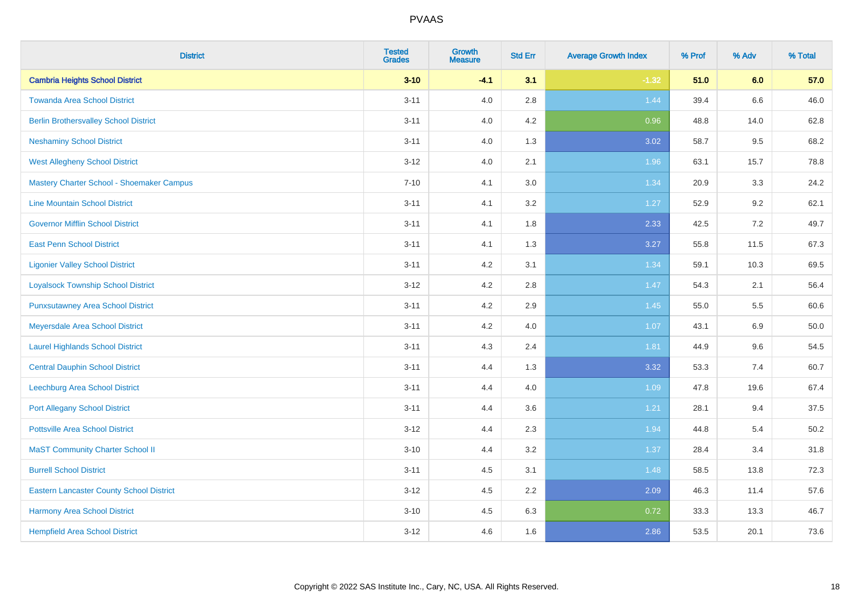| <b>District</b>                                 | <b>Tested</b><br><b>Grades</b> | <b>Growth</b><br><b>Measure</b> | <b>Std Err</b> | <b>Average Growth Index</b> | % Prof | % Adv | % Total |
|-------------------------------------------------|--------------------------------|---------------------------------|----------------|-----------------------------|--------|-------|---------|
| <b>Cambria Heights School District</b>          | $3 - 10$                       | $-4.1$                          | 3.1            | $-1.32$                     | 51.0   | 6.0   | 57.0    |
| <b>Towanda Area School District</b>             | $3 - 11$                       | 4.0                             | 2.8            | 1.44                        | 39.4   | 6.6   | 46.0    |
| <b>Berlin Brothersvalley School District</b>    | $3 - 11$                       | 4.0                             | 4.2            | 0.96                        | 48.8   | 14.0  | 62.8    |
| <b>Neshaminy School District</b>                | $3 - 11$                       | 4.0                             | 1.3            | 3.02                        | 58.7   | 9.5   | 68.2    |
| <b>West Allegheny School District</b>           | $3 - 12$                       | 4.0                             | 2.1            | 1.96                        | 63.1   | 15.7  | 78.8    |
| Mastery Charter School - Shoemaker Campus       | $7 - 10$                       | 4.1                             | 3.0            | 1.34                        | 20.9   | 3.3   | 24.2    |
| <b>Line Mountain School District</b>            | $3 - 11$                       | 4.1                             | 3.2            | 1.27                        | 52.9   | 9.2   | 62.1    |
| <b>Governor Mifflin School District</b>         | $3 - 11$                       | 4.1                             | 1.8            | 2.33                        | 42.5   | 7.2   | 49.7    |
| <b>East Penn School District</b>                | $3 - 11$                       | 4.1                             | 1.3            | 3.27                        | 55.8   | 11.5  | 67.3    |
| <b>Ligonier Valley School District</b>          | $3 - 11$                       | 4.2                             | 3.1            | 1.34                        | 59.1   | 10.3  | 69.5    |
| <b>Loyalsock Township School District</b>       | $3 - 12$                       | 4.2                             | 2.8            | 1.47                        | 54.3   | 2.1   | 56.4    |
| <b>Punxsutawney Area School District</b>        | $3 - 11$                       | 4.2                             | 2.9            | 1.45                        | 55.0   | 5.5   | 60.6    |
| Meyersdale Area School District                 | $3 - 11$                       | 4.2                             | 4.0            | 1.07                        | 43.1   | 6.9   | 50.0    |
| <b>Laurel Highlands School District</b>         | $3 - 11$                       | 4.3                             | 2.4            | 1.81                        | 44.9   | 9.6   | 54.5    |
| <b>Central Dauphin School District</b>          | $3 - 11$                       | 4.4                             | 1.3            | 3.32                        | 53.3   | 7.4   | 60.7    |
| Leechburg Area School District                  | $3 - 11$                       | 4.4                             | 4.0            | 1.09                        | 47.8   | 19.6  | 67.4    |
| <b>Port Allegany School District</b>            | $3 - 11$                       | 4.4                             | 3.6            | 1.21                        | 28.1   | 9.4   | 37.5    |
| <b>Pottsville Area School District</b>          | $3 - 12$                       | 4.4                             | 2.3            | 1.94                        | 44.8   | 5.4   | 50.2    |
| <b>MaST Community Charter School II</b>         | $3 - 10$                       | 4.4                             | 3.2            | 1.37                        | 28.4   | 3.4   | 31.8    |
| <b>Burrell School District</b>                  | $3 - 11$                       | 4.5                             | 3.1            | 1.48                        | 58.5   | 13.8  | 72.3    |
| <b>Eastern Lancaster County School District</b> | $3-12$                         | 4.5                             | 2.2            | 2.09                        | 46.3   | 11.4  | 57.6    |
| <b>Harmony Area School District</b>             | $3 - 10$                       | 4.5                             | 6.3            | 0.72                        | 33.3   | 13.3  | 46.7    |
| <b>Hempfield Area School District</b>           | $3 - 12$                       | 4.6                             | 1.6            | 2.86                        | 53.5   | 20.1  | 73.6    |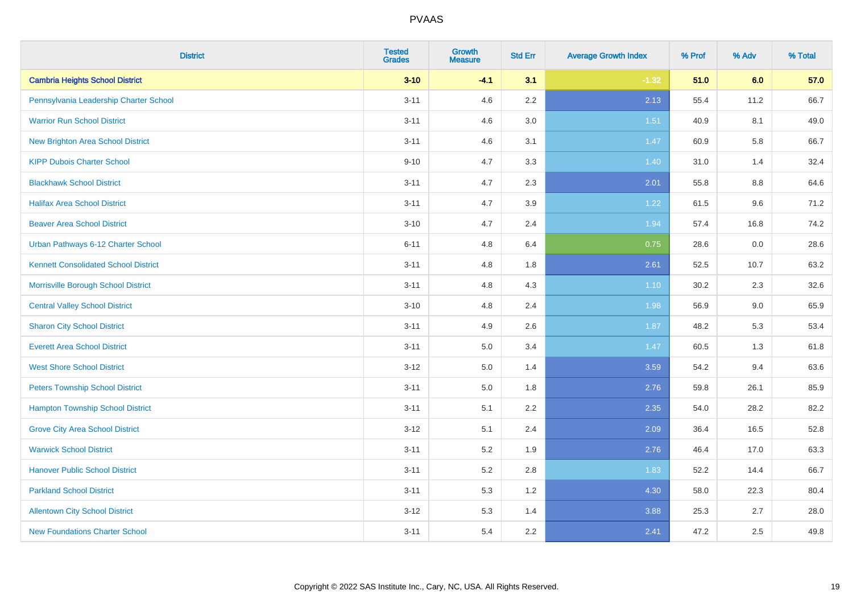| <b>District</b>                             | <b>Tested</b><br><b>Grades</b> | <b>Growth</b><br><b>Measure</b> | <b>Std Err</b> | <b>Average Growth Index</b> | % Prof | % Adv | % Total |
|---------------------------------------------|--------------------------------|---------------------------------|----------------|-----------------------------|--------|-------|---------|
| <b>Cambria Heights School District</b>      | $3 - 10$                       | $-4.1$                          | 3.1            | $-1.32$                     | 51.0   | 6.0   | 57.0    |
| Pennsylvania Leadership Charter School      | $3 - 11$                       | 4.6                             | $2.2\,$        | 2.13                        | 55.4   | 11.2  | 66.7    |
| <b>Warrior Run School District</b>          | $3 - 11$                       | 4.6                             | 3.0            | 1.51                        | 40.9   | 8.1   | 49.0    |
| <b>New Brighton Area School District</b>    | $3 - 11$                       | 4.6                             | 3.1            | 1.47                        | 60.9   | 5.8   | 66.7    |
| <b>KIPP Dubois Charter School</b>           | $9 - 10$                       | 4.7                             | 3.3            | 1.40                        | 31.0   | 1.4   | 32.4    |
| <b>Blackhawk School District</b>            | $3 - 11$                       | 4.7                             | 2.3            | 2.01                        | 55.8   | 8.8   | 64.6    |
| <b>Halifax Area School District</b>         | $3 - 11$                       | 4.7                             | 3.9            | 1.22                        | 61.5   | 9.6   | 71.2    |
| <b>Beaver Area School District</b>          | $3 - 10$                       | 4.7                             | 2.4            | 1.94                        | 57.4   | 16.8  | 74.2    |
| Urban Pathways 6-12 Charter School          | $6 - 11$                       | 4.8                             | 6.4            | 0.75                        | 28.6   | 0.0   | 28.6    |
| <b>Kennett Consolidated School District</b> | $3 - 11$                       | 4.8                             | 1.8            | 2.61                        | 52.5   | 10.7  | 63.2    |
| Morrisville Borough School District         | $3 - 11$                       | 4.8                             | 4.3            | $1.10$                      | 30.2   | 2.3   | 32.6    |
| <b>Central Valley School District</b>       | $3 - 10$                       | 4.8                             | 2.4            | 1.98                        | 56.9   | 9.0   | 65.9    |
| <b>Sharon City School District</b>          | $3 - 11$                       | 4.9                             | 2.6            | 1.87                        | 48.2   | 5.3   | 53.4    |
| <b>Everett Area School District</b>         | $3 - 11$                       | $5.0\,$                         | 3.4            | 1.47                        | 60.5   | 1.3   | 61.8    |
| <b>West Shore School District</b>           | $3 - 12$                       | 5.0                             | 1.4            | 3.59                        | 54.2   | 9.4   | 63.6    |
| <b>Peters Township School District</b>      | $3 - 11$                       | 5.0                             | 1.8            | 2.76                        | 59.8   | 26.1  | 85.9    |
| <b>Hampton Township School District</b>     | $3 - 11$                       | 5.1                             | 2.2            | 2.35                        | 54.0   | 28.2  | 82.2    |
| <b>Grove City Area School District</b>      | $3 - 12$                       | 5.1                             | 2.4            | 2.09                        | 36.4   | 16.5  | 52.8    |
| <b>Warwick School District</b>              | $3 - 11$                       | 5.2                             | 1.9            | 2.76                        | 46.4   | 17.0  | 63.3    |
| <b>Hanover Public School District</b>       | $3 - 11$                       | 5.2                             | 2.8            | 1.83                        | 52.2   | 14.4  | 66.7    |
| <b>Parkland School District</b>             | $3 - 11$                       | 5.3                             | 1.2            | 4.30                        | 58.0   | 22.3  | 80.4    |
| <b>Allentown City School District</b>       | $3 - 12$                       | 5.3                             | 1.4            | 3.88                        | 25.3   | 2.7   | 28.0    |
| <b>New Foundations Charter School</b>       | $3 - 11$                       | 5.4                             | 2.2            | 2.41                        | 47.2   | 2.5   | 49.8    |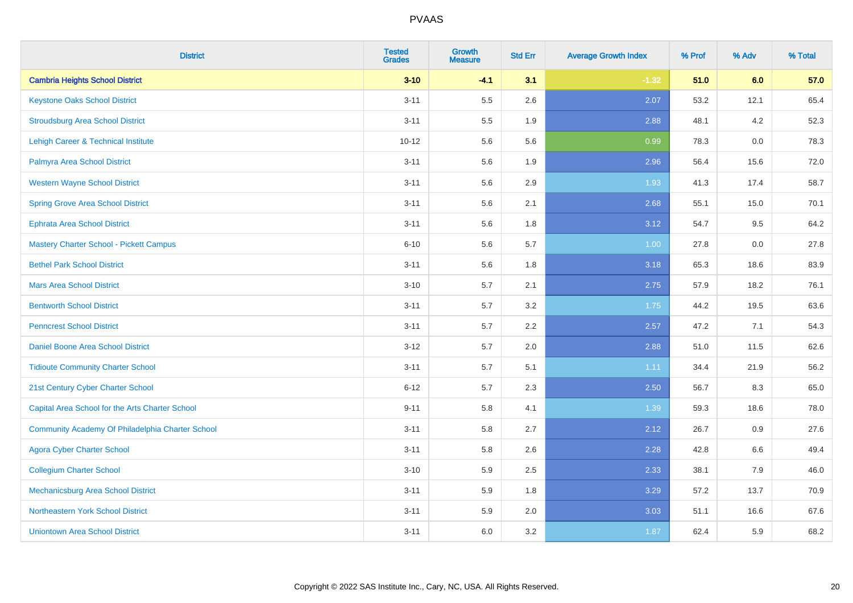| <b>District</b>                                  | <b>Tested</b><br><b>Grades</b> | <b>Growth</b><br><b>Measure</b> | <b>Std Err</b> | <b>Average Growth Index</b> | % Prof | % Adv | % Total |
|--------------------------------------------------|--------------------------------|---------------------------------|----------------|-----------------------------|--------|-------|---------|
| <b>Cambria Heights School District</b>           | $3 - 10$                       | $-4.1$                          | 3.1            | $-1.32$                     | 51.0   | 6.0   | 57.0    |
| <b>Keystone Oaks School District</b>             | $3 - 11$                       | $5.5\,$                         | 2.6            | 2.07                        | 53.2   | 12.1  | 65.4    |
| <b>Stroudsburg Area School District</b>          | $3 - 11$                       | 5.5                             | 1.9            | 2.88                        | 48.1   | 4.2   | 52.3    |
| <b>Lehigh Career &amp; Technical Institute</b>   | $10 - 12$                      | 5.6                             | 5.6            | 0.99                        | 78.3   | 0.0   | 78.3    |
| Palmyra Area School District                     | $3 - 11$                       | 5.6                             | 1.9            | 2.96                        | 56.4   | 15.6  | 72.0    |
| <b>Western Wayne School District</b>             | $3 - 11$                       | 5.6                             | 2.9            | 1.93                        | 41.3   | 17.4  | 58.7    |
| <b>Spring Grove Area School District</b>         | $3 - 11$                       | 5.6                             | 2.1            | 2.68                        | 55.1   | 15.0  | 70.1    |
| <b>Ephrata Area School District</b>              | $3 - 11$                       | 5.6                             | 1.8            | 3.12                        | 54.7   | 9.5   | 64.2    |
| Mastery Charter School - Pickett Campus          | $6 - 10$                       | 5.6                             | 5.7            | 1.00                        | 27.8   | 0.0   | 27.8    |
| <b>Bethel Park School District</b>               | $3 - 11$                       | 5.6                             | 1.8            | 3.18                        | 65.3   | 18.6  | 83.9    |
| <b>Mars Area School District</b>                 | $3 - 10$                       | 5.7                             | 2.1            | 2.75                        | 57.9   | 18.2  | 76.1    |
| <b>Bentworth School District</b>                 | $3 - 11$                       | 5.7                             | 3.2            | 1.75                        | 44.2   | 19.5  | 63.6    |
| <b>Penncrest School District</b>                 | $3 - 11$                       | $5.7\,$                         | 2.2            | 2.57                        | 47.2   | 7.1   | 54.3    |
| Daniel Boone Area School District                | $3 - 12$                       | 5.7                             | 2.0            | 2.88                        | 51.0   | 11.5  | 62.6    |
| <b>Tidioute Community Charter School</b>         | $3 - 11$                       | $5.7\,$                         | 5.1            | 1.11                        | 34.4   | 21.9  | 56.2    |
| 21st Century Cyber Charter School                | $6 - 12$                       | 5.7                             | 2.3            | 2.50                        | 56.7   | 8.3   | 65.0    |
| Capital Area School for the Arts Charter School  | $9 - 11$                       | 5.8                             | 4.1            | 1.39                        | 59.3   | 18.6  | 78.0    |
| Community Academy Of Philadelphia Charter School | $3 - 11$                       | 5.8                             | 2.7            | 2.12                        | 26.7   | 0.9   | 27.6    |
| <b>Agora Cyber Charter School</b>                | $3 - 11$                       | 5.8                             | 2.6            | 2.28                        | 42.8   | 6.6   | 49.4    |
| <b>Collegium Charter School</b>                  | $3 - 10$                       | 5.9                             | 2.5            | 2.33                        | 38.1   | 7.9   | 46.0    |
| Mechanicsburg Area School District               | $3 - 11$                       | 5.9                             | 1.8            | 3.29                        | 57.2   | 13.7  | 70.9    |
| Northeastern York School District                | $3 - 11$                       | 5.9                             | 2.0            | 3.03                        | 51.1   | 16.6  | 67.6    |
| <b>Uniontown Area School District</b>            | $3 - 11$                       | 6.0                             | 3.2            | 1.87                        | 62.4   | 5.9   | 68.2    |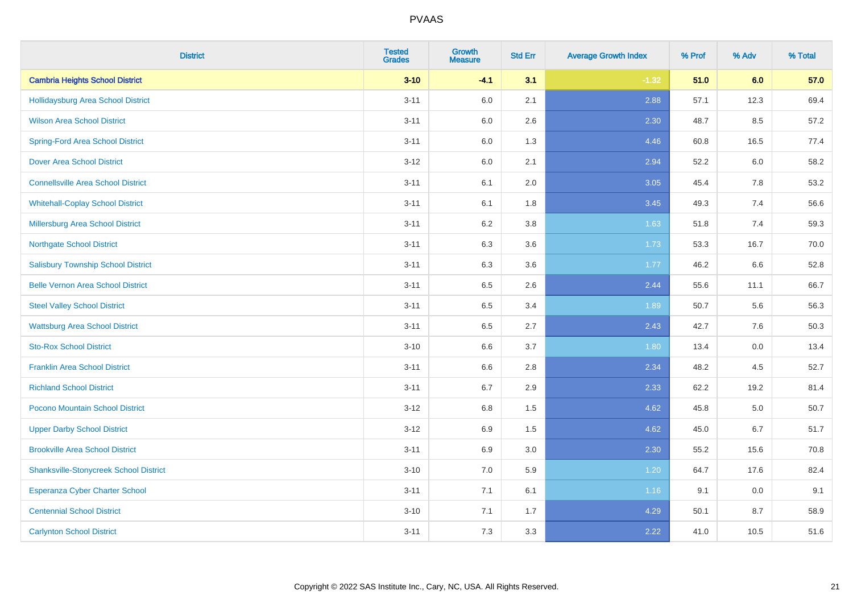| <b>District</b>                               | <b>Tested</b><br><b>Grades</b> | <b>Growth</b><br><b>Measure</b> | <b>Std Err</b> | <b>Average Growth Index</b> | % Prof | % Adv | % Total |
|-----------------------------------------------|--------------------------------|---------------------------------|----------------|-----------------------------|--------|-------|---------|
| <b>Cambria Heights School District</b>        | $3 - 10$                       | $-4.1$                          | 3.1            | $-1.32$                     | 51.0   | 6.0   | 57.0    |
| Hollidaysburg Area School District            | $3 - 11$                       | 6.0                             | 2.1            | 2.88                        | 57.1   | 12.3  | 69.4    |
| <b>Wilson Area School District</b>            | $3 - 11$                       | 6.0                             | 2.6            | 2.30                        | 48.7   | 8.5   | 57.2    |
| <b>Spring-Ford Area School District</b>       | $3 - 11$                       | $6.0\,$                         | 1.3            | 4.46                        | 60.8   | 16.5  | 77.4    |
| <b>Dover Area School District</b>             | $3-12$                         | 6.0                             | 2.1            | 2.94                        | 52.2   | 6.0   | 58.2    |
| <b>Connellsville Area School District</b>     | $3 - 11$                       | 6.1                             | 2.0            | 3.05                        | 45.4   | 7.8   | 53.2    |
| <b>Whitehall-Coplay School District</b>       | $3 - 11$                       | 6.1                             | 1.8            | 3.45                        | 49.3   | 7.4   | 56.6    |
| <b>Millersburg Area School District</b>       | $3 - 11$                       | 6.2                             | 3.8            | 1.63                        | 51.8   | 7.4   | 59.3    |
| <b>Northgate School District</b>              | $3 - 11$                       | 6.3                             | 3.6            | 1.73                        | 53.3   | 16.7  | 70.0    |
| <b>Salisbury Township School District</b>     | $3 - 11$                       | 6.3                             | 3.6            | 1.77                        | 46.2   | 6.6   | 52.8    |
| <b>Belle Vernon Area School District</b>      | $3 - 11$                       | 6.5                             | 2.6            | 2.44                        | 55.6   | 11.1  | 66.7    |
| <b>Steel Valley School District</b>           | $3 - 11$                       | 6.5                             | 3.4            | 1.89                        | 50.7   | 5.6   | 56.3    |
| <b>Wattsburg Area School District</b>         | $3 - 11$                       | 6.5                             | 2.7            | 2.43                        | 42.7   | 7.6   | 50.3    |
| <b>Sto-Rox School District</b>                | $3 - 10$                       | 6.6                             | 3.7            | 1.80                        | 13.4   | 0.0   | 13.4    |
| <b>Franklin Area School District</b>          | $3 - 11$                       | 6.6                             | 2.8            | 2.34                        | 48.2   | 4.5   | 52.7    |
| <b>Richland School District</b>               | $3 - 11$                       | 6.7                             | 2.9            | 2.33                        | 62.2   | 19.2  | 81.4    |
| Pocono Mountain School District               | $3 - 12$                       | 6.8                             | 1.5            | 4.62                        | 45.8   | 5.0   | 50.7    |
| <b>Upper Darby School District</b>            | $3-12$                         | 6.9                             | 1.5            | 4.62                        | 45.0   | 6.7   | 51.7    |
| <b>Brookville Area School District</b>        | $3 - 11$                       | 6.9                             | 3.0            | 2.30                        | 55.2   | 15.6  | 70.8    |
| <b>Shanksville-Stonycreek School District</b> | $3 - 10$                       | 7.0                             | 5.9            | 1.20                        | 64.7   | 17.6  | 82.4    |
| <b>Esperanza Cyber Charter School</b>         | $3 - 11$                       | 7.1                             | 6.1            | 1.16                        | 9.1    | 0.0   | 9.1     |
| <b>Centennial School District</b>             | $3 - 10$                       | 7.1                             | 1.7            | 4.29                        | 50.1   | 8.7   | 58.9    |
| <b>Carlynton School District</b>              | $3 - 11$                       | 7.3                             | 3.3            | 2.22                        | 41.0   | 10.5  | 51.6    |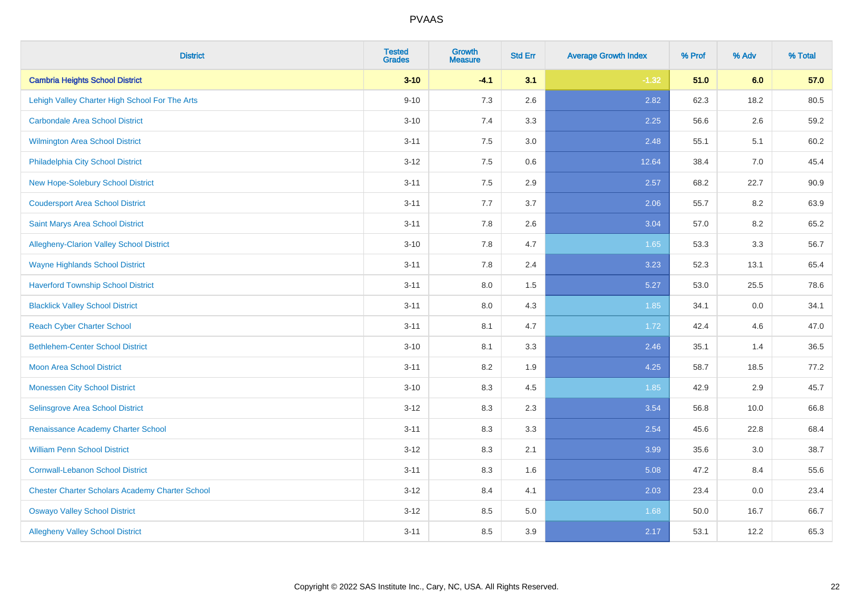| <b>District</b>                                        | <b>Tested</b><br><b>Grades</b> | <b>Growth</b><br><b>Measure</b> | <b>Std Err</b> | <b>Average Growth Index</b> | % Prof | % Adv | % Total |
|--------------------------------------------------------|--------------------------------|---------------------------------|----------------|-----------------------------|--------|-------|---------|
| <b>Cambria Heights School District</b>                 | $3 - 10$                       | $-4.1$                          | 3.1            | $-1.32$                     | 51.0   | 6.0   | 57.0    |
| Lehigh Valley Charter High School For The Arts         | $9 - 10$                       | 7.3                             | 2.6            | 2.82                        | 62.3   | 18.2  | 80.5    |
| <b>Carbondale Area School District</b>                 | $3 - 10$                       | 7.4                             | 3.3            | 2.25                        | 56.6   | 2.6   | 59.2    |
| <b>Wilmington Area School District</b>                 | $3 - 11$                       | $7.5\,$                         | 3.0            | 2.48                        | 55.1   | 5.1   | 60.2    |
| Philadelphia City School District                      | $3-12$                         | 7.5                             | 0.6            | 12.64                       | 38.4   | 7.0   | 45.4    |
| New Hope-Solebury School District                      | $3 - 11$                       | 7.5                             | 2.9            | 2.57                        | 68.2   | 22.7  | 90.9    |
| <b>Coudersport Area School District</b>                | $3 - 11$                       | 7.7                             | 3.7            | 2.06                        | 55.7   | 8.2   | 63.9    |
| Saint Marys Area School District                       | $3 - 11$                       | 7.8                             | 2.6            | 3.04                        | 57.0   | 8.2   | 65.2    |
| Allegheny-Clarion Valley School District               | $3 - 10$                       | 7.8                             | 4.7            | 1.65                        | 53.3   | 3.3   | 56.7    |
| <b>Wayne Highlands School District</b>                 | $3 - 11$                       | 7.8                             | 2.4            | 3.23                        | 52.3   | 13.1  | 65.4    |
| <b>Haverford Township School District</b>              | $3 - 11$                       | 8.0                             | 1.5            | 5.27                        | 53.0   | 25.5  | 78.6    |
| <b>Blacklick Valley School District</b>                | $3 - 11$                       | 8.0                             | 4.3            | 1.85                        | 34.1   | 0.0   | 34.1    |
| <b>Reach Cyber Charter School</b>                      | $3 - 11$                       | 8.1                             | 4.7            | 1.72                        | 42.4   | 4.6   | 47.0    |
| <b>Bethlehem-Center School District</b>                | $3 - 10$                       | 8.1                             | 3.3            | 2.46                        | 35.1   | 1.4   | 36.5    |
| Moon Area School District                              | $3 - 11$                       | 8.2                             | 1.9            | 4.25                        | 58.7   | 18.5  | 77.2    |
| <b>Monessen City School District</b>                   | $3 - 10$                       | 8.3                             | 4.5            | 1.85                        | 42.9   | 2.9   | 45.7    |
| Selinsgrove Area School District                       | $3-12$                         | 8.3                             | 2.3            | 3.54                        | 56.8   | 10.0  | 66.8    |
| Renaissance Academy Charter School                     | $3 - 11$                       | 8.3                             | 3.3            | 2.54                        | 45.6   | 22.8  | 68.4    |
| <b>William Penn School District</b>                    | $3 - 12$                       | 8.3                             | 2.1            | 3.99                        | 35.6   | 3.0   | 38.7    |
| <b>Cornwall-Lebanon School District</b>                | $3 - 11$                       | 8.3                             | 1.6            | 5.08                        | 47.2   | 8.4   | 55.6    |
| <b>Chester Charter Scholars Academy Charter School</b> | $3 - 12$                       | 8.4                             | 4.1            | 2.03                        | 23.4   | 0.0   | 23.4    |
| <b>Oswayo Valley School District</b>                   | $3-12$                         | 8.5                             | 5.0            | 1.68                        | 50.0   | 16.7  | 66.7    |
| <b>Allegheny Valley School District</b>                | $3 - 11$                       | 8.5                             | 3.9            | 2.17                        | 53.1   | 12.2  | 65.3    |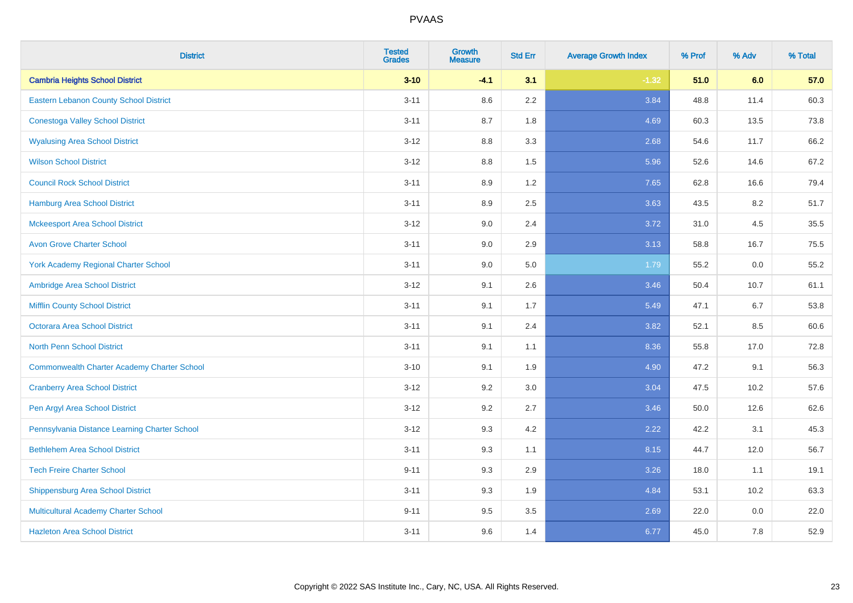| <b>District</b>                                    | <b>Tested</b><br><b>Grades</b> | <b>Growth</b><br><b>Measure</b> | <b>Std Err</b> | <b>Average Growth Index</b> | % Prof | % Adv | % Total |
|----------------------------------------------------|--------------------------------|---------------------------------|----------------|-----------------------------|--------|-------|---------|
| <b>Cambria Heights School District</b>             | $3 - 10$                       | $-4.1$                          | 3.1            | $-1.32$                     | 51.0   | 6.0   | 57.0    |
| Eastern Lebanon County School District             | $3 - 11$                       | 8.6                             | $2.2\,$        | 3.84                        | 48.8   | 11.4  | 60.3    |
| <b>Conestoga Valley School District</b>            | $3 - 11$                       | 8.7                             | 1.8            | 4.69                        | 60.3   | 13.5  | 73.8    |
| <b>Wyalusing Area School District</b>              | $3-12$                         | 8.8                             | 3.3            | 2.68                        | 54.6   | 11.7  | 66.2    |
| <b>Wilson School District</b>                      | $3 - 12$                       | 8.8                             | 1.5            | 5.96                        | 52.6   | 14.6  | 67.2    |
| <b>Council Rock School District</b>                | $3 - 11$                       | 8.9                             | 1.2            | 7.65                        | 62.8   | 16.6  | 79.4    |
| <b>Hamburg Area School District</b>                | $3 - 11$                       | 8.9                             | 2.5            | 3.63                        | 43.5   | 8.2   | 51.7    |
| <b>Mckeesport Area School District</b>             | $3 - 12$                       | 9.0                             | 2.4            | 3.72                        | 31.0   | 4.5   | 35.5    |
| <b>Avon Grove Charter School</b>                   | $3 - 11$                       | 9.0                             | 2.9            | 3.13                        | 58.8   | 16.7  | 75.5    |
| <b>York Academy Regional Charter School</b>        | $3 - 11$                       | 9.0                             | 5.0            | 1.79                        | 55.2   | 0.0   | 55.2    |
| Ambridge Area School District                      | $3 - 12$                       | 9.1                             | 2.6            | 3.46                        | 50.4   | 10.7  | 61.1    |
| <b>Mifflin County School District</b>              | $3 - 11$                       | 9.1                             | 1.7            | 5.49                        | 47.1   | 6.7   | 53.8    |
| <b>Octorara Area School District</b>               | $3 - 11$                       | 9.1                             | 2.4            | 3.82                        | 52.1   | 8.5   | 60.6    |
| <b>North Penn School District</b>                  | $3 - 11$                       | 9.1                             | 1.1            | 8.36                        | 55.8   | 17.0  | 72.8    |
| <b>Commonwealth Charter Academy Charter School</b> | $3 - 10$                       | 9.1                             | 1.9            | 4.90                        | 47.2   | 9.1   | 56.3    |
| <b>Cranberry Area School District</b>              | $3 - 12$                       | 9.2                             | 3.0            | 3.04                        | 47.5   | 10.2  | 57.6    |
| Pen Argyl Area School District                     | $3 - 12$                       | 9.2                             | 2.7            | 3.46                        | 50.0   | 12.6  | 62.6    |
| Pennsylvania Distance Learning Charter School      | $3 - 12$                       | 9.3                             | 4.2            | 2.22                        | 42.2   | 3.1   | 45.3    |
| <b>Bethlehem Area School District</b>              | $3 - 11$                       | 9.3                             | 1.1            | 8.15                        | 44.7   | 12.0  | 56.7    |
| <b>Tech Freire Charter School</b>                  | $9 - 11$                       | 9.3                             | 2.9            | 3.26                        | 18.0   | 1.1   | 19.1    |
| <b>Shippensburg Area School District</b>           | $3 - 11$                       | 9.3                             | 1.9            | 4.84                        | 53.1   | 10.2  | 63.3    |
| Multicultural Academy Charter School               | $9 - 11$                       | 9.5                             | 3.5            | 2.69                        | 22.0   | 0.0   | 22.0    |
| <b>Hazleton Area School District</b>               | $3 - 11$                       | 9.6                             | 1.4            | 6.77                        | 45.0   | 7.8   | 52.9    |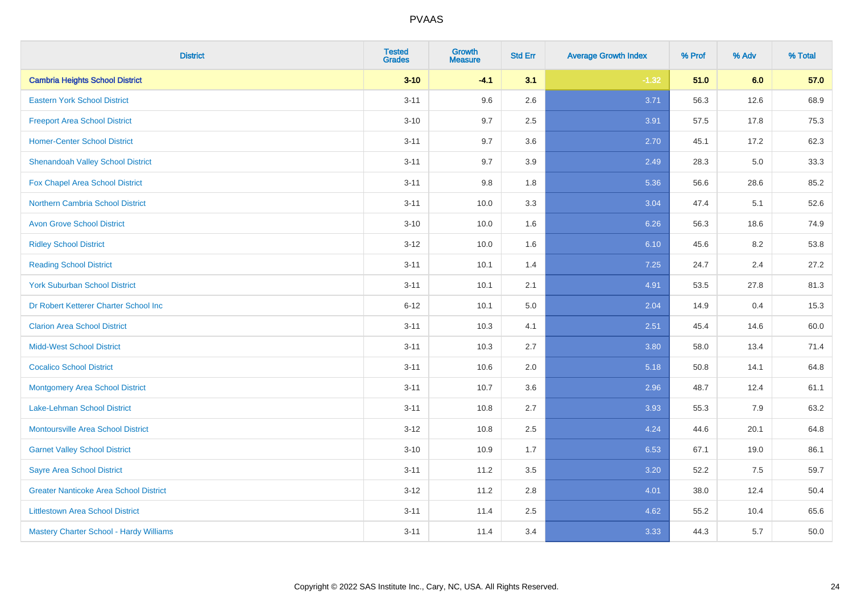| <b>District</b>                               | <b>Tested</b><br><b>Grades</b> | <b>Growth</b><br><b>Measure</b> | <b>Std Err</b> | <b>Average Growth Index</b> | % Prof | % Adv | % Total |
|-----------------------------------------------|--------------------------------|---------------------------------|----------------|-----------------------------|--------|-------|---------|
| <b>Cambria Heights School District</b>        | $3 - 10$                       | $-4.1$                          | 3.1            | $-1.32$                     | 51.0   | 6.0   | 57.0    |
| <b>Eastern York School District</b>           | $3 - 11$                       | 9.6                             | 2.6            | 3.71                        | 56.3   | 12.6  | 68.9    |
| <b>Freeport Area School District</b>          | $3 - 10$                       | 9.7                             | 2.5            | 3.91                        | 57.5   | 17.8  | 75.3    |
| <b>Homer-Center School District</b>           | $3 - 11$                       | 9.7                             | 3.6            | 2.70                        | 45.1   | 17.2  | 62.3    |
| <b>Shenandoah Valley School District</b>      | $3 - 11$                       | 9.7                             | 3.9            | 2.49                        | 28.3   | 5.0   | 33.3    |
| Fox Chapel Area School District               | $3 - 11$                       | 9.8                             | 1.8            | 5.36                        | 56.6   | 28.6  | 85.2    |
| <b>Northern Cambria School District</b>       | $3 - 11$                       | 10.0                            | 3.3            | 3.04                        | 47.4   | 5.1   | 52.6    |
| <b>Avon Grove School District</b>             | $3 - 10$                       | 10.0                            | 1.6            | 6.26                        | 56.3   | 18.6  | 74.9    |
| <b>Ridley School District</b>                 | $3 - 12$                       | 10.0                            | 1.6            | 6.10                        | 45.6   | 8.2   | 53.8    |
| <b>Reading School District</b>                | $3 - 11$                       | 10.1                            | 1.4            | 7.25                        | 24.7   | 2.4   | 27.2    |
| <b>York Suburban School District</b>          | $3 - 11$                       | 10.1                            | 2.1            | 4.91                        | 53.5   | 27.8  | 81.3    |
| Dr Robert Ketterer Charter School Inc         | $6 - 12$                       | 10.1                            | 5.0            | 2.04                        | 14.9   | 0.4   | 15.3    |
| <b>Clarion Area School District</b>           | $3 - 11$                       | 10.3                            | 4.1            | 2.51                        | 45.4   | 14.6  | 60.0    |
| <b>Midd-West School District</b>              | $3 - 11$                       | 10.3                            | 2.7            | 3.80                        | 58.0   | 13.4  | 71.4    |
| <b>Cocalico School District</b>               | $3 - 11$                       | 10.6                            | 2.0            | 5.18                        | 50.8   | 14.1  | 64.8    |
| <b>Montgomery Area School District</b>        | $3 - 11$                       | 10.7                            | 3.6            | 2.96                        | 48.7   | 12.4  | 61.1    |
| Lake-Lehman School District                   | $3 - 11$                       | 10.8                            | 2.7            | 3.93                        | 55.3   | 7.9   | 63.2    |
| Montoursville Area School District            | $3 - 12$                       | 10.8                            | 2.5            | 4.24                        | 44.6   | 20.1  | 64.8    |
| <b>Garnet Valley School District</b>          | $3 - 10$                       | 10.9                            | 1.7            | 6.53                        | 67.1   | 19.0  | 86.1    |
| <b>Sayre Area School District</b>             | $3 - 11$                       | 11.2                            | 3.5            | 3.20                        | 52.2   | 7.5   | 59.7    |
| <b>Greater Nanticoke Area School District</b> | $3 - 12$                       | 11.2                            | 2.8            | 4.01                        | 38.0   | 12.4  | 50.4    |
| <b>Littlestown Area School District</b>       | $3 - 11$                       | 11.4                            | 2.5            | 4.62                        | 55.2   | 10.4  | 65.6    |
| Mastery Charter School - Hardy Williams       | $3 - 11$                       | 11.4                            | 3.4            | 3.33                        | 44.3   | 5.7   | 50.0    |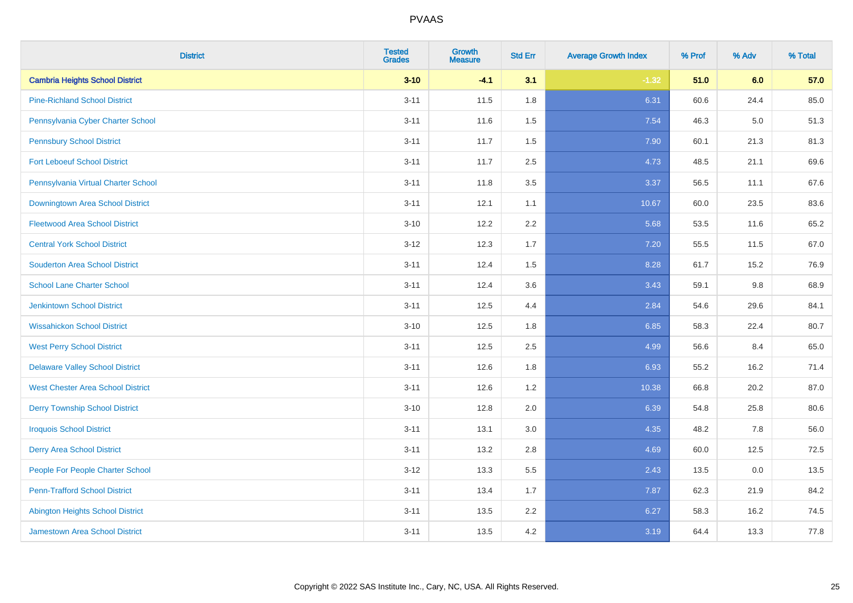| <b>District</b>                          | <b>Tested</b><br><b>Grades</b> | Growth<br><b>Measure</b> | <b>Std Err</b> | <b>Average Growth Index</b> | % Prof | % Adv   | % Total |
|------------------------------------------|--------------------------------|--------------------------|----------------|-----------------------------|--------|---------|---------|
| <b>Cambria Heights School District</b>   | $3 - 10$                       | $-4.1$                   | 3.1            | $-1.32$                     | 51.0   | 6.0     | 57.0    |
| <b>Pine-Richland School District</b>     | $3 - 11$                       | 11.5                     | 1.8            | 6.31                        | 60.6   | 24.4    | 85.0    |
| Pennsylvania Cyber Charter School        | $3 - 11$                       | 11.6                     | 1.5            | 7.54                        | 46.3   | $5.0\,$ | 51.3    |
| <b>Pennsbury School District</b>         | $3 - 11$                       | 11.7                     | 1.5            | 7.90                        | 60.1   | 21.3    | 81.3    |
| <b>Fort Leboeuf School District</b>      | $3 - 11$                       | 11.7                     | 2.5            | 4.73                        | 48.5   | 21.1    | 69.6    |
| Pennsylvania Virtual Charter School      | $3 - 11$                       | 11.8                     | 3.5            | 3.37                        | 56.5   | 11.1    | 67.6    |
| Downingtown Area School District         | $3 - 11$                       | 12.1                     | 1.1            | 10.67                       | 60.0   | 23.5    | 83.6    |
| <b>Fleetwood Area School District</b>    | $3 - 10$                       | 12.2                     | 2.2            | 5.68                        | 53.5   | 11.6    | 65.2    |
| <b>Central York School District</b>      | $3 - 12$                       | 12.3                     | 1.7            | 7.20                        | 55.5   | 11.5    | 67.0    |
| <b>Souderton Area School District</b>    | $3 - 11$                       | 12.4                     | 1.5            | 8.28                        | 61.7   | 15.2    | 76.9    |
| <b>School Lane Charter School</b>        | $3 - 11$                       | 12.4                     | 3.6            | 3.43                        | 59.1   | 9.8     | 68.9    |
| <b>Jenkintown School District</b>        | $3 - 11$                       | 12.5                     | 4.4            | 2.84                        | 54.6   | 29.6    | 84.1    |
| <b>Wissahickon School District</b>       | $3 - 10$                       | 12.5                     | 1.8            | 6.85                        | 58.3   | 22.4    | 80.7    |
| <b>West Perry School District</b>        | $3 - 11$                       | 12.5                     | 2.5            | 4.99                        | 56.6   | 8.4     | 65.0    |
| <b>Delaware Valley School District</b>   | $3 - 11$                       | 12.6                     | 1.8            | 6.93                        | 55.2   | 16.2    | 71.4    |
| <b>West Chester Area School District</b> | $3 - 11$                       | 12.6                     | 1.2            | 10.38                       | 66.8   | 20.2    | 87.0    |
| <b>Derry Township School District</b>    | $3 - 10$                       | 12.8                     | 2.0            | 6.39                        | 54.8   | 25.8    | 80.6    |
| <b>Iroquois School District</b>          | $3 - 11$                       | 13.1                     | 3.0            | 4.35                        | 48.2   | 7.8     | 56.0    |
| <b>Derry Area School District</b>        | $3 - 11$                       | 13.2                     | 2.8            | 4.69                        | 60.0   | 12.5    | 72.5    |
| People For People Charter School         | $3 - 12$                       | 13.3                     | 5.5            | 2.43                        | 13.5   | 0.0     | 13.5    |
| <b>Penn-Trafford School District</b>     | $3 - 11$                       | 13.4                     | 1.7            | 7.87                        | 62.3   | 21.9    | 84.2    |
| <b>Abington Heights School District</b>  | $3 - 11$                       | 13.5                     | 2.2            | 6.27                        | 58.3   | 16.2    | 74.5    |
| <b>Jamestown Area School District</b>    | $3 - 11$                       | 13.5                     | 4.2            | 3.19                        | 64.4   | 13.3    | 77.8    |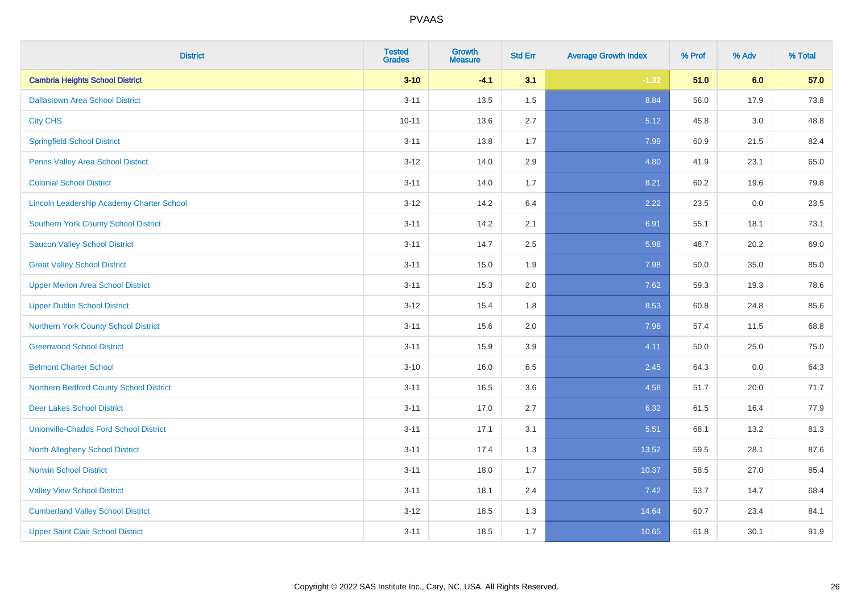| <b>District</b>                                  | <b>Tested</b><br><b>Grades</b> | <b>Growth</b><br><b>Measure</b> | <b>Std Err</b> | <b>Average Growth Index</b> | % Prof | % Adv   | % Total |
|--------------------------------------------------|--------------------------------|---------------------------------|----------------|-----------------------------|--------|---------|---------|
| <b>Cambria Heights School District</b>           | $3 - 10$                       | $-4.1$                          | 3.1            | $-1.32$                     | 51.0   | 6.0     | 57.0    |
| <b>Dallastown Area School District</b>           | $3 - 11$                       | 13.5                            | 1.5            | 8.84                        | 56.0   | 17.9    | 73.8    |
| <b>City CHS</b>                                  | $10 - 11$                      | 13.6                            | 2.7            | 5.12                        | 45.8   | 3.0     | 48.8    |
| <b>Springfield School District</b>               | $3 - 11$                       | 13.8                            | 1.7            | 7.99                        | 60.9   | 21.5    | 82.4    |
| Penns Valley Area School District                | $3 - 12$                       | 14.0                            | 2.9            | 4.80                        | 41.9   | 23.1    | 65.0    |
| <b>Colonial School District</b>                  | $3 - 11$                       | 14.0                            | 1.7            | 8.21                        | 60.2   | 19.6    | 79.8    |
| <b>Lincoln Leadership Academy Charter School</b> | $3 - 12$                       | 14.2                            | 6.4            | 2.22                        | 23.5   | $0.0\,$ | 23.5    |
| <b>Southern York County School District</b>      | $3 - 11$                       | 14.2                            | 2.1            | 6.91                        | 55.1   | 18.1    | 73.1    |
| <b>Saucon Valley School District</b>             | $3 - 11$                       | 14.7                            | 2.5            | 5.98                        | 48.7   | 20.2    | 69.0    |
| <b>Great Valley School District</b>              | $3 - 11$                       | 15.0                            | 1.9            | 7.98                        | 50.0   | 35.0    | 85.0    |
| <b>Upper Merion Area School District</b>         | $3 - 11$                       | 15.3                            | 2.0            | 7.62                        | 59.3   | 19.3    | 78.6    |
| <b>Upper Dublin School District</b>              | $3 - 12$                       | 15.4                            | 1.8            | 8.53                        | 60.8   | 24.8    | 85.6    |
| Northern York County School District             | $3 - 11$                       | 15.6                            | 2.0            | 7.98                        | 57.4   | 11.5    | 68.8    |
| <b>Greenwood School District</b>                 | $3 - 11$                       | 15.9                            | 3.9            | 4.11                        | 50.0   | 25.0    | 75.0    |
| <b>Belmont Charter School</b>                    | $3 - 10$                       | 16.0                            | 6.5            | 2.45                        | 64.3   | 0.0     | 64.3    |
| Northern Bedford County School District          | $3 - 11$                       | 16.5                            | 3.6            | 4.58                        | 51.7   | 20.0    | 71.7    |
| <b>Deer Lakes School District</b>                | $3 - 11$                       | 17.0                            | 2.7            | 6.32                        | 61.5   | 16.4    | 77.9    |
| <b>Unionville-Chadds Ford School District</b>    | $3 - 11$                       | 17.1                            | 3.1            | 5.51                        | 68.1   | 13.2    | 81.3    |
| <b>North Allegheny School District</b>           | $3 - 11$                       | 17.4                            | 1.3            | 13.52                       | 59.5   | 28.1    | 87.6    |
| <b>Norwin School District</b>                    | $3 - 11$                       | 18.0                            | 1.7            | 10.37                       | 58.5   | 27.0    | 85.4    |
| <b>Valley View School District</b>               | $3 - 11$                       | 18.1                            | 2.4            | 7.42                        | 53.7   | 14.7    | 68.4    |
| <b>Cumberland Valley School District</b>         | $3 - 12$                       | 18.5                            | 1.3            | 14.64                       | 60.7   | 23.4    | 84.1    |
| <b>Upper Saint Clair School District</b>         | $3 - 11$                       | 18.5                            | 1.7            | 10.65                       | 61.8   | 30.1    | 91.9    |